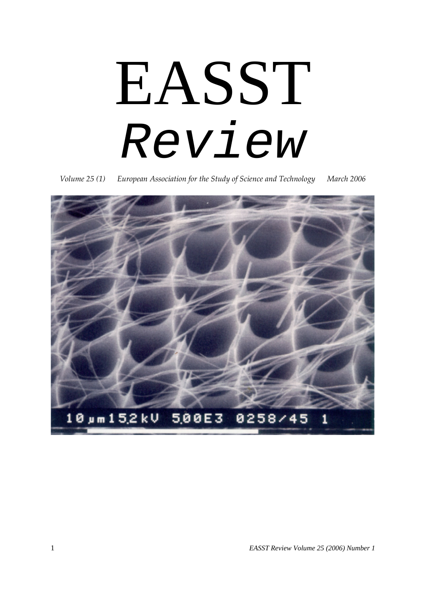# EASST *Review*

*Volume 25 (1) European Association for the Study of Science and Technology March 2006*

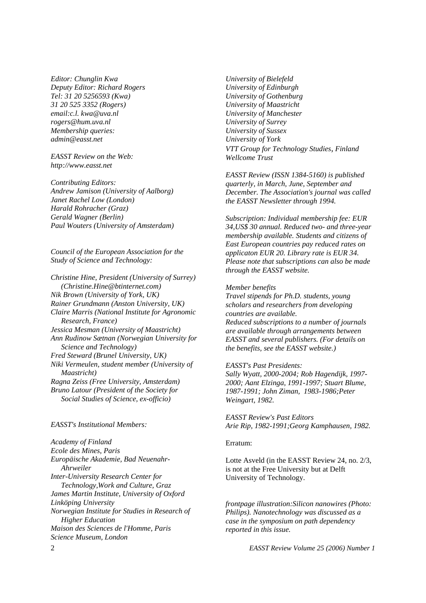*Editor: Chunglin Kwa Deputy Editor: Richard Rogers Tel: 31 20 5256593 (Kwa) 31 20 525 3352 (Rogers) email:c.l. kwa@uva.nl rogers@hum.uva.nl Membership queries: admin@easst.net*

### *EASST Review on the Web: http://www.easst.net*

*Contributing Editors: Andrew Jamison (University of Aalborg) Janet Rachel Low (London) Harald Rohracher (Graz) Gerald Wagner (Berlin) Paul Wouters (University of Amsterdam)*

*Council of the European Association for the Study of Science and Technology:*

*Christine Hine, President (University of Surrey) (Christine.Hine@btinternet.com) Nik Brown (University of York, UK) Rainer Grundmann (Anston University, UK) Claire Marris (National Institute for Agronomic Research, France) Jessica Mesman (University of Maastricht) Ann Rudinow Sætnan (Norwegian University for Science and Technology) Fred Steward (Brunel University, UK) Niki Vermeulen, student member (University of Maastricht) Ragna Zeiss (Free University, Amsterdam) Bruno Latour (President of the Society for Social Studies of Science, ex-officio)*

### *EASST's Institutional Members:*

*Academy of Finland Ecole des Mines, Paris Europäische Akademie, Bad Neuenahr-Ahrweiler Inter-University Research Center for Technology,Work and Culture, Graz James Martin Institute, University of Oxford Linköping University Norwegian Institute for Studies in Research of Higher Education Maison des Sciences de l'Homme, Paris Science Museum, London*

*University of Bielefeld University of Edinburgh University of Gothenburg University of Maastricht University of Manchester University of Surrey University of Sussex University of York VTT Group for Technology Studies, Finland Wellcome Trust*

*EASST Review (ISSN 1384-5160) is published quarterly, in March, June, September and December. The Association's journal was called the EASST Newsletter through 1994.*

*Subscription: Individual membership fee: EUR 34,US\$ 30 annual. Reduced two- and three-year membership available. Students and citizens of East European countries pay reduced rates on applicaton EUR 20. Library rate is EUR 34. Please note that subscriptions can also be made through the EASST website.*

### *Member benefits*

*Travel stipends for Ph.D. students, young scholars and researchers from developing countries are available. Reduced subscriptions to a number of journals are available through arrangements between EASST and several publishers. (For details on the benefits, see the EASST website.)*

#### *EASST's Past Presidents:*

*Sally Wyatt, 2000-2004; Rob Hagendijk, 1997- 2000; Aant Elzinga, 1991-1997; Stuart Blume, 1987-1991; John Ziman, 1983-1986;Peter Weingart, 1982.*

*EASST Review's Past Editors Arie Rip, 1982-1991;Georg Kamphausen, 1982.*

### Erratum:

Lotte Asveld (in the EASST Review 24, no. 2/3, is not at the Free University but at Delft University of Technology.

*frontpage illustration:Silicon nanowires (Photo: Philips). Nanotechnology was discussed as a case in the symposium on path dependency reported in this issue.*

2 *EASST Review Volume 25 (2006) Number 1*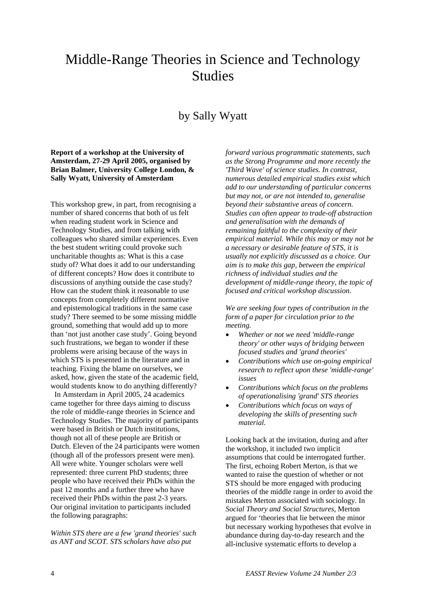# Middle-Range Theories in Science and Technology Studies

# by Sally Wyatt

**Report of a workshop at the University of Amsterdam, 27-29 April 2005, organised by Brian Balmer, University College London, & Sally Wyatt, University of Amsterdam**

This workshop grew, in part, from recognising a number of shared concerns that both of us felt when reading student work in Science and Technology Studies, and from talking with colleagues who shared similar experiences. Even the best student writing could provoke such uncharitable thoughts as: What is this a case study of? What does it add to our understanding of different concepts? How does it contribute to discussions of anything outside the case study? How can the student think it reasonable to use concepts from completely different normative and epistemological traditions in the same case study? There seemed to be some missing middle ground, something that would add up to more than 'not just another case study'. Going beyond such frustrations, we began to wonder if these problems were arising because of the ways in which STS is presented in the literature and in teaching. Fixing the blame on ourselves, we asked, how, given the state of the academic field, would students know to do anything differently?

 In Amsterdam in April 2005, 24 academics came together for three days aiming to discuss the role of middle-range theories in Science and Technology Studies. The majority of participants were based in British or Dutch institutions, though not all of these people are British or Dutch. Eleven of the 24 participants were women (though all of the professors present were men). All were white. Younger scholars were well represented: three current PhD students; three people who have received their PhDs within the past 12 months and a further three who have received their PhDs within the past 2-3 years. Our original invitation to participants included the following paragraphs:

*Within STS there are a few 'grand theories' such as ANT and SCOT. STS scholars have also put* 

*forward various programmatic statements, such as the Strong Programme and more recently the 'Third Wave' of science studies. In contrast, numerous detailed empirical studies exist which add to our understanding of particular concerns but may not, or are not intended to, generalise beyond their substantive areas of concern. Studies can often appear to trade-off abstraction and generalisation with the demands of remaining faithful to the complexity of their empirical material. While this may or may not be a necessary or desirable feature of STS, it is usually not explicitly discussed as a choice. Our aim is to make this gap, between the empirical richness of individual studies and the development of middle-range theory, the topic of focused and critical workshop discussion.*

*We are seeking four types of contribution in the form of a paper for circulation prior to the meeting.*

- *Whether or not we need 'middle-range theory' or other ways of bridging between focused studies and 'grand theories'*
- *Contributions which use on-going empirical research to reflect upon these 'middle-range' issues*
- *Contributions which focus on the problems of operationalising 'grand' STS theories*
- *Contributions which focus on ways of developing the skills of presenting such material.*

Looking back at the invitation, during and after the workshop, it included two implicit assumptions that could be interrogated further. The first, echoing Robert Merton, is that we wanted to raise the question of whether or not STS should be more engaged with producing theories of the middle range in order to avoid the mistakes Merton associated with sociology. In *Social Theory and Social Structures*, Merton argued for 'theories that lie between the minor but necessary working hypotheses that evolve in abundance during day-to-day research and the all-inclusive systematic efforts to develop a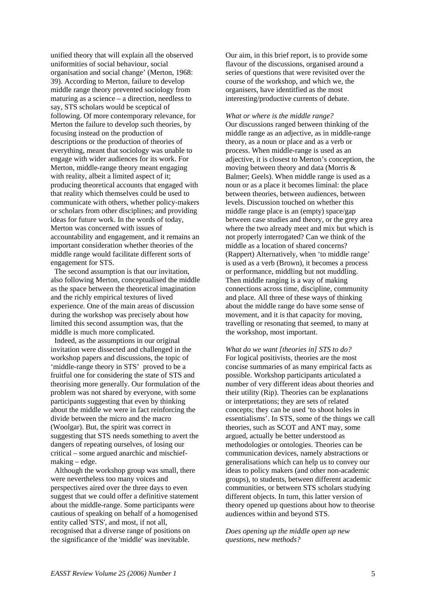unified theory that will explain all the observed uniformities of social behaviour, social organisation and social change' (Merton, 1968: 39). According to Merton, failure to develop middle range theory prevented sociology from maturing as a science – a direction, needless to say, STS scholars would be sceptical of following. Of more contemporary relevance, for Merton the failure to develop such theories, by focusing instead on the production of descriptions or the production of theories of everything, meant that sociology was unable to engage with wider audiences for its work. For Merton, middle-range theory meant engaging with reality, albeit a limited aspect of it; producing theoretical accounts that engaged with that reality which themselves could be used to communicate with others, whether policy-makers or scholars from other disciplines; and providing ideas for future work. In the words of today, Merton was concerned with issues of accountability and engagement, and it remains an important consideration whether theories of the middle range would facilitate different sorts of engagement for STS.

 The second assumption is that our invitation, also following Merton, conceptualised the middle as the space between the theoretical imagination and the richly empirical textures of lived experience. One of the main areas of discussion during the workshop was precisely about how limited this second assumption was, that the middle is much more complicated.

 Indeed, as the assumptions in our original invitation were dissected and challenged in the workshop papers and discussions, the topic of 'middle-range theory in STS' proved to be a fruitful one for considering the state of STS and theorising more generally. Our formulation of the problem was not shared by everyone, with some participants suggesting that even by thinking about the middle we were in fact reinforcing the divide between the micro and the macro (Woolgar). But, the spirit was correct in suggesting that STS needs something to avert the dangers of repeating ourselves, of losing our critical – some argued anarchic and mischiefmaking – edge.

 Although the workshop group was small, there were nevertheless too many voices and perspectives aired over the three days to even suggest that we could offer a definitive statement about the middle-range. Some participants were cautious of speaking on behalf of a homogenised entity called 'STS', and most, if not all, recognised that a diverse range of positions on the significance of the 'middle' was inevitable.

Our aim, in this brief report, is to provide some flavour of the discussions, organised around a series of questions that were revisited over the course of the workshop, and which we, the organisers, have identitfied as the most interesting/productive currents of debate.

### *What or where is the middle range?*

Our discussions ranged between thinking of the middle range as an adjective, as in middle-range theory, as a noun or place and as a verb or process. When middle-range is used as an adjective, it is closest to Merton's conception, the moving between theory and data (Morris & Balmer; Geels). When middle range is used as a noun or as a place it becomes liminal: the place between theories, between audiences, between levels. Discussion touched on whether this middle range place is an (empty) space/gap between case studies and theory, or the grey area where the two already meet and mix but which is not properly interrogated? Can we think of the middle as a location of shared concerns? (Rappert) Alternatively, when 'to middle range' is used as a verb (Brown), it becomes a process or performance, middling but not muddling. Then middle ranging is a way of making connections across time, discipline, community and place. All three of these ways of thinking about the middle range do have some sense of movement, and it is that capacity for moving, travelling or resonating that seemed, to many at the workshop, most important.

*What do we want [theories in] STS to do?*  For logical positivists, theories are the most concise summaries of as many empirical facts as possible. Workshop participants articulated a number of very different ideas about theories and their utility (Rip). Theories can be explanations or interpretations; they are sets of related concepts; they can be used 'to shoot holes in essentialisms'. In STS, some of the things we call theories, such as SCOT and ANT may, some argued, actually be better understood as methodologies or ontologies. Theories can be communication devices, namely abstractions or generalisations which can help us to convey our ideas to policy makers (and other non-academic groups), to students, between different academic communities, or between STS scholars studying different objects. In turn, this latter version of theory opened up questions about how to theorise audiences within and beyond STS.

*Does opening up the middle open up new questions, new methods?*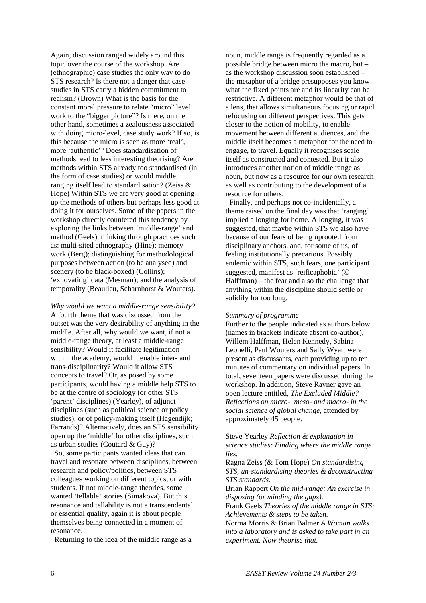Again, discussion ranged widely around this topic over the course of the workshop. Are (ethnographic) case studies the only way to do STS research? Is there not a danger that case studies in STS carry a hidden commitment to realism? (Brown) What is the basis for the constant moral pressure to relate "micro" level work to the "bigger picture"? Is there, on the other hand, sometimes a zealousness associated with doing micro-level, case study work? If so, is this because the micro is seen as more 'real', more 'authentic'? Does standardisation of methods lead to less interesting theorising? Are methods within STS already too standardised (in the form of case studies) or would middle ranging itself lead to standardisation? (Zeiss & Hope) Within STS we are very good at opening up the methods of others but perhaps less good at doing it for ourselves. Some of the papers in the workshop directly countered this tendency by exploring the links between 'middle-range' and method (Geels), thinking through practices such as: multi-sited ethnography (Hine); memory work (Berg); distinguishing for methodological purposes between action (to be analysed) and scenery (to be black-boxed) (Collins): 'exnovating' data (Mesman); and the analysis of temporality (Beaulieu, Scharnhorst & Wouters).

*Why would we want a middle-range sensibility?* A fourth theme that was discussed from the outset was the very desirability of anything in the middle. After all, why would we want, if not a middle-range theory, at least a middle-range sensibility? Would it facilitate legitimation within the academy, would it enable inter- and trans-disciplinarity? Would it allow STS concepts to travel? Or, as posed by some participants, would having a middle help STS to be at the centre of sociology (or other STS 'parent' disciplines) (Yearley), of adjunct disciplines (such as political science or policy studies), or of policy-making itself (Hagendijk; Farrands)? Alternatively, does an STS sensibility open up the 'middle' for other disciplines, such as urban studies (Coutard & Guy)?

 So, some participants wanted ideas that can travel and resonate between disciplines, between research and policy/politics, between STS colleagues working on different topics, or with students. If not middle-range theories, some wanted 'tellable' stories (Simakova). But this resonance and tellability is not a transcendental or essential quality, again it is about people themselves being connected in a moment of resonance.

Returning to the idea of the middle range as a

noun, middle range is frequently regarded as a possible bridge between micro the macro, but – as the workshop discussion soon established – the metaphor of a bridge presupposes you know what the fixed points are and its linearity can be restrictive. A different metaphor would be that of a lens, that allows simultaneous focusing or rapid refocusing on different perspectives. This gets closer to the notion of mobility, to enable movement between different audiences, and the middle itself becomes a metaphor for the need to engage, to travel. Equally it recognises scale itself as constructed and contested. But it also introduces another notion of middle range as noun, but now as a resource for our own research as well as contributing to the development of a resource for others.

 Finally, and perhaps not co-incidentally, a theme raised on the final day was that 'ranging' implied a longing for home. A longing, it was suggested, that maybe within STS we also have because of our fears of being uprooted from disciplinary anchors, and, for some of us, of feeling institutionally precarious. Possibly endemic within STS, such fears, one participant suggested, manifest as 'reificaphobia' ( Halffman) – the fear and also the challenge that anything within the discipline should settle or solidify for too long.

### *Summary of programme*

Further to the people indicated as authors below (names in brackets indicate absent co-author), Willem Halffman, Helen Kennedy, Sabina Leonelli, Paul Wouters and Sally Wyatt were present as discussants, each providing up to ten minutes of commentary on individual papers. In total, seventeen papers were discussed during the workshop. In addition, Steve Rayner gave an open lecture entitled, *The Excluded Middle? Reflections on micro-, meso- and macro- in the social science of global change*, attended by approximately 45 people.

Steve Yearley *Reflection & explanation in science studies: Finding where the middle range lies.*

Ragna Zeiss (& Tom Hope) *On standardising STS, un-standardising theories & deconstructing STS standards.*

Brian Rappert *On the mid-range: An exercise in disposing (or minding the gaps).*

Frank Geels *Theories of the middle range in STS: Achievements & steps to be taken.*

Norma Morris & Brian Balmer *A Woman walks into a laboratory and is asked to take part in an experiment. Now theorise that.*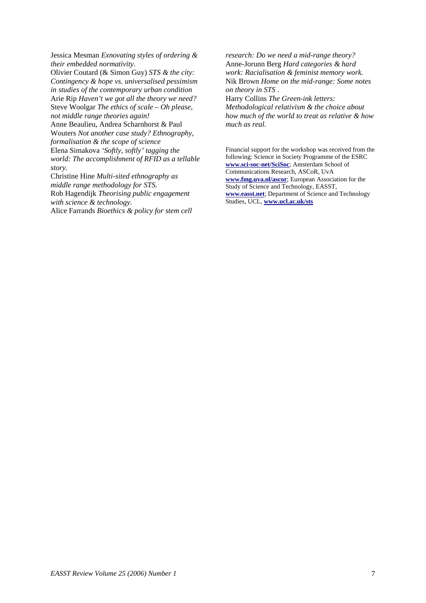Jessica Mesman *Exnovating styles of ordering & their embedded normativity.*

Olivier Coutard (& Simon Guy) *STS & the city: Contingency & hope vs. universalised pessimism in studies of the contemporary urban condition* Arie Rip *Haven't we got all the theory we need?* Steve Woolgar *The ethics of scale – Oh please, not middle range theories again!*

Anne Beaulieu, Andrea Scharnhorst & Paul Wouters *Not another case study? Ethnography,* 

*formalisation & the scope of science* Elena Simakova *'Softly, softly' tagging the world: The accomplishment of RFID as a tellable story.*

Christine Hine *Multi-sited ethnography as middle range methodology for STS.* Rob Hagendijk *Theorising public engagement with science & technology.*

Alice Farrands *Bioethics & policy for stem cell* 

*research: Do we need a mid-range theory?* Anne-Jorunn Berg *Hard categories & hard work: Racialisation & feminist memory work.* Nik Brown *Home on the mid-range: Some notes on theory in STS* .

Harry Collins *The Green-ink letters: Methodological relativism & the choice about how much of the world to treat as relative & how much as real.*

Financial support for the workshop was received from the following: Science in Society Programme of the ESRC **[www.sci-soc-net/SciSoc](http://www.sci-soc-net/SciSoc)**; Amsterdam School of Communications Research, ASCoR, UvA **[www.fmg.uva.nl/ascor](http://www.fmg.uva.nl/ascor)**; European Association for the Study of Science and Technology, EASST, **[www.easst.net](http://www.easst.net/)**; Department of Science and Technology Studies, UCL, **[www.ucl.ac.uk/sts](http://www.ucl.ac.uk/sts)**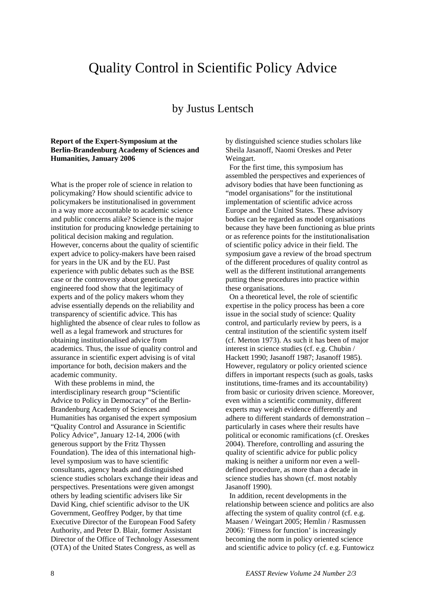# Quality Control in Scientific Policy Advice

## by Justus Lentsch

### **Report of the Expert-Symposium at the Berlin-Brandenburg Academy of Sciences and Humanities, January 2006**

What is the proper role of science in relation to policymaking? How should scientific advice to policymakers be institutionalised in government in a way more accountable to academic science and public concerns alike? Science is the major institution for producing knowledge pertaining to political decision making and regulation. However, concerns about the quality of scientific expert advice to policy-makers have been raised for years in the UK and by the EU. Past experience with public debates such as the BSE case or the controversy about genetically engineered food show that the legitimacy of experts and of the policy makers whom they advise essentially depends on the reliability and transparency of scientific advice. This has highlighted the absence of clear rules to follow as well as a legal framework and structures for obtaining institutionalised advice from academics. Thus, the issue of quality control and assurance in scientific expert advising is of vital importance for both, decision makers and the academic community.

 With these problems in mind, the interdisciplinary research group "Scientific Advice to Policy in Democracy" of the Berlin-Brandenburg Academy of Sciences and Humanities has organised the expert symposium "Quality Control and Assurance in Scientific Policy Advice", January 12-14, 2006 (with generous support by the Fritz Thyssen Foundation). The idea of this international highlevel symposium was to have scientific consultants, agency heads and distinguished science studies scholars exchange their ideas and perspectives. Presentations were given amongst others by leading scientific advisers like Sir David King, chief scientific advisor to the UK Government, Geoffrey Podger, by that time Executive Director of the European Food Safety Authority, and Peter D. Blair, former Assistant Director of the Office of Technology Assessment (OTA) of the United States Congress, as well as

by distinguished science studies scholars like Sheila Jasanoff, Naomi Oreskes and Peter Weingart.

 For the first time, this symposium has assembled the perspectives and experiences of advisory bodies that have been functioning as "model organisations" for the institutional implementation of scientific advice across Europe and the United States. These advisory bodies can be regarded as model organisations because they have been functioning as blue prints or as reference points for the institutionalisation of scientific policy advice in their field. The symposium gave a review of the broad spectrum of the different procedures of quality control as well as the different institutional arrangements putting these procedures into practice within these organisations.

 On a theoretical level, the role of scientific expertise in the policy process has been a core issue in the social study of science: Quality control, and particularly review by peers, is a central institution of the scientific system itself (cf. Merton 1973). As such it has been of major interest in science studies (cf. e.g. Chubin / Hackett 1990; Jasanoff 1987; Jasanoff 1985). However, regulatory or policy oriented science differs in important respects (such as goals, tasks institutions, time-frames and its accountability) from basic or curiosity driven science. Moreover, even within a scientific community, different experts may weigh evidence differently and adhere to different standards of demonstration – particularly in cases where their results have political or economic ramifications (cf. Oreskes 2004). Therefore, controlling and assuring the quality of scientific advice for public policy making is neither a uniform nor even a welldefined procedure, as more than a decade in science studies has shown (cf. most notably Jasanoff 1990).

 In addition, recent developments in the relationship between science and politics are also affecting the system of quality control (cf. e.g. Maasen / Weingart 2005; Hemlin / Rasmussen 2006): 'Fitness for function' is increasingly becoming the norm in policy oriented science and scientific advice to policy (cf. e.g. Funtowicz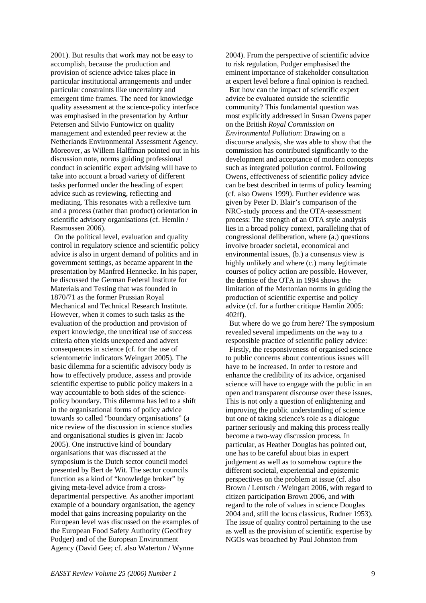2001). But results that work may not be easy to accomplish, because the production and provision of science advice takes place in particular institutional arrangements and under particular constraints like uncertainty and emergent time frames. The need for knowledge quality assessment at the science-policy interface was emphasised in the presentation by Arthur Petersen and Silvio Funtowicz on quality management and extended peer review at the Netherlands Environmental Assessment Agency. Moreover, as Willem Halffman pointed out in his discussion note, norms guiding professional conduct in scientific expert advising will have to take into account a broad variety of different tasks performed under the heading of expert advice such as reviewing, reflecting and mediating. This resonates with a reflexive turn and a process (rather than product) orientation in scientific advisory organisations (cf. Hemlin / Rasmussen 2006).

 On the political level, evaluation and quality control in regulatory science and scientific policy advice is also in urgent demand of politics and in government settings, as became apparent in the presentation by Manfred Hennecke. In his paper, he discussed the German Federal Institute for Materials and Testing that was founded in 1870/71 as the former Prussian Royal Mechanical and Technical Research Institute. However, when it comes to such tasks as the evaluation of the production and provision of expert knowledge, the uncritical use of success criteria often yields unexpected and advert consequences in science (cf. for the use of scientometric indicators Weingart 2005). The basic dilemma for a scientific advisory body is how to effectively produce, assess and provide scientific expertise to public policy makers in a way accountable to both sides of the sciencepolicy boundary. This dilemma has led to a shift in the organisational forms of policy advice towards so called "boundary organisations" (a nice review of the discussion in science studies and organisational studies is given in: Jacob 2005). One instructive kind of boundary organisations that was discussed at the symposium is the Dutch sector council model presented by Bert de Wit. The sector councils function as a kind of "knowledge broker" by giving meta-level advice from a crossdepartmental perspective. As another important example of a boundary organisation, the agency model that gains increasing popularity on the European level was discussed on the examples of the European Food Safety Authority (Geoffrey Podger) and of the European Environment Agency (David Gee; cf. also Waterton / Wynne

2004). From the perspective of scientific advice to risk regulation, Podger emphasised the eminent importance of stakeholder consultation at expert level before a final opinion is reached.

 But how can the impact of scientific expert advice be evaluated outside the scientific community? This fundamental question was most explicitly addressed in Susan Owens paper on the British *Royal Commission on Environmental Pollution*: Drawing on a discourse analysis, she was able to show that the commission has contributed significantly to the development and acceptance of modern concepts such as integrated pollution control. Following Owens, effectiveness of scientific policy advice can be best described in terms of policy learning (cf. also Owens 1999). Further evidence was given by Peter D. Blair's comparison of the NRC-study process and the OTA-assessment process: The strength of an OTA style analysis lies in a broad policy context, paralleling that of congressional deliberation, where (a.) questions involve broader societal, economical and environmental issues, (b.) a consensus view is highly unlikely and where (c.) many legitimate courses of policy action are possible. However, the demise of the OTA in 1994 shows the limitation of the Mertonian norms in guiding the production of scientific expertise and policy advice (cf. for a further critique Hamlin 2005: 402ff).

 But where do we go from here? The symposium revealed several impediments on the way to a responsible practice of scientific policy advice:

 Firstly, the responsiveness of organised science to public concerns about contentious issues will have to be increased. In order to restore and enhance the credibility of its advice, organised science will have to engage with the public in an open and transparent discourse over these issues. This is not only a question of enlightening and improving the public understanding of science but one of taking science's role as a dialogue partner seriously and making this process really become a two-way discussion process. In particular, as Heather Douglas has pointed out, one has to be careful about bias in expert judgement as well as to somehow capture the different societal, experiential and epistemic perspectives on the problem at issue (cf. also Brown / Lentsch / Weingart 2006, with regard to citizen participation Brown 2006, and with regard to the role of values in science Douglas 2004 and, still the locus classicus, Rudner 1953). The issue of quality control pertaining to the use as well as the provision of scientific expertise by NGOs was broached by Paul Johnston from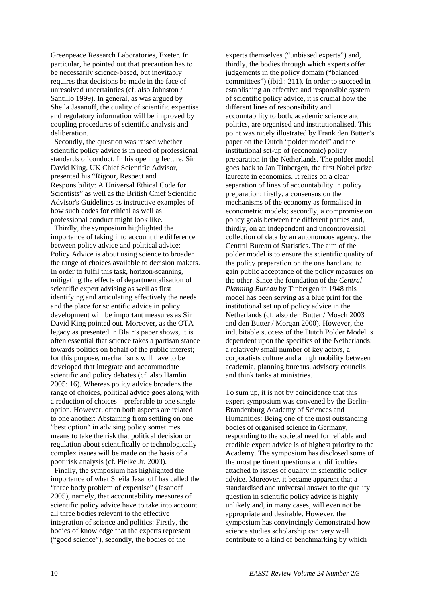Greenpeace Research Laboratories, Exeter. In particular, he pointed out that precaution has to be necessarily science-based, but inevitably requires that decisions be made in the face of unresolved uncertainties (cf. also Johnston / Santillo 1999). In general, as was argued by Sheila Jasanoff, the quality of scientific expertise and regulatory information will be improved by coupling procedures of scientific analysis and deliberation.

 Secondly, the question was raised whether scientific policy advice is in need of professional standards of conduct. In his opening lecture, Sir David King, UK Chief Scientific Advisor, presented his "Rigour, Respect and Responsibility: A Universal Ethical Code for Scientists" as well as the British Chief Scientific Advisor's Guidelines as instructive examples of how such codes for ethical as well as professional conduct might look like.

 Thirdly, the symposium highlighted the importance of taking into account the difference between policy advice and political advice: Policy Advice is about using science to broaden the range of choices available to decision makers. In order to fulfil this task, horizon-scanning, mitigating the effects of departmentalisation of scientific expert advising as well as first identifying and articulating effectively the needs and the place for scientific advice in policy development will be important measures as Sir David King pointed out. Moreover, as the OTA legacy as presented in Blair's paper shows, it is often essential that science takes a partisan stance towards politics on behalf of the public interest; for this purpose, mechanisms will have to be developed that integrate and accommodate scientific and policy debates (cf. also Hamlin 2005: 16). Whereas policy advice broadens the range of choices, political advice goes along with a reduction of choices – preferable to one single option. However, often both aspects are related to one another: Abstaining from settling on one "best option" in advising policy sometimes means to take the risk that political decision or regulation about scientifically or technologically complex issues will be made on the basis of a poor risk analysis (cf. Pielke Jr. 2003).

 Finally, the symposium has highlighted the importance of what Sheila Jasanoff has called the "three body problem of expertise" (Jasanoff 2005), namely, that accountability measures of scientific policy advice have to take into account all three bodies relevant to the effective integration of science and politics: Firstly, the bodies of knowledge that the experts represent ("good science"), secondly, the bodies of the

experts themselves ("unbiased experts") and, thirdly, the bodies through which experts offer judgements in the policy domain ("balanced committees") (ibid.: 211). In order to succeed in establishing an effective and responsible system of scientific policy advice, it is crucial how the different lines of responsibility and accountability to both, academic science and politics, are organised and institutionalised. This point was nicely illustrated by Frank den Butter's paper on the Dutch "polder model" and the institutional set-up of (economic) policy preparation in the Netherlands. The polder model goes back to Jan Tinbergen, the first Nobel prize laureate in economics. It relies on a clear separation of lines of accountability in policy preparation: firstly, a consensus on the mechanisms of the economy as formalised in econometric models; secondly, a compromise on policy goals between the different parties and, thirdly, on an independent and uncontroversial collection of data by an autonomous agency, the Central Bureau of Statistics. The aim of the polder model is to ensure the scientific quality of the policy preparation on the one hand and to gain public acceptance of the policy measures on the other. Since the foundation of the *Central Planning Bureau* by Tinbergen in 1948 this model has been serving as a blue print for the institutional set up of policy advice in the Netherlands (cf. also den Butter / Mosch 2003 and den Butter / Morgan 2000). However, the indubitable success of the Dutch Polder Model is dependent upon the specifics of the Netherlands: a relatively small number of key actors, a corporatists culture and a high mobility between academia, planning bureaus, advisory councils and think tanks at ministries.

To sum up, it is not by coincidence that this expert symposium was convened by the Berlin-Brandenburg Academy of Sciences and Humanities: Being one of the most outstanding bodies of organised science in Germany, responding to the societal need for reliable and credible expert advice is of highest priority to the Academy. The symposium has disclosed some of the most pertinent questions and difficulties attached to issues of quality in scientific policy advice. Moreover, it became apparent that a standardised and universal answer to the quality question in scientific policy advice is highly unlikely and, in many cases, will even not be appropriate and desirable. However, the symposium has convincingly demonstrated how science studies scholarship can very well contribute to a kind of benchmarking by which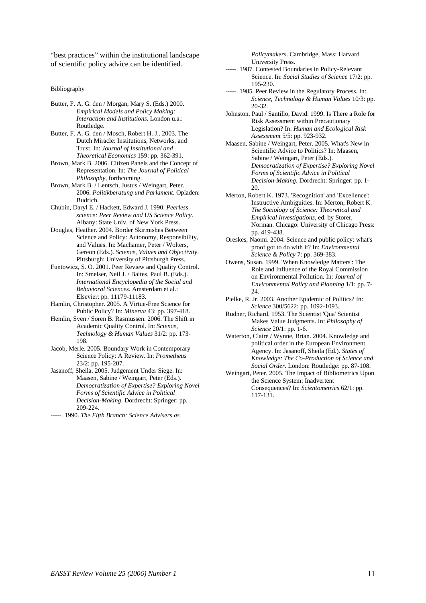"best practices" within the institutional landscape of scientific policy advice can be identified.

Bibliography

- Butter, F. A. G. den / Morgan, Mary S. (Eds.) 2000. *Empirical Models and Policy Making: Interaction and Institutions*. London u.a.: Routledge.
- Butter, F. A. G. den / Mosch, Robert H. J.. 2003. The Dutch Miracle: Institutions, Networks, and Trust. In: *Journal of Institutional and Theoretical Economics* 159: pp. 362-391.
- Brown, Mark B. 2006. Citizen Panels and the Concept of Representation. In: *The Journal of Political Philosophy*, forthcoming.
- Brown, Mark B. / Lentsch, Justus / Weingart, Peter. 2006. *Politikberatung und Parlament*. Opladen: Budrich.
- Chubin, Daryl E. / Hackett, Edward J. 1990. *Peerless science: Peer Review and US Science Policy*. Albany: State Univ. of New York Press.
- Douglas, Heather. 2004. Border Skirmishes Between Science and Policy: Autonomy, Responsibility, and Values. In: Machamer, Peter / Wolters, Gereon (Eds.). *Science, Values and Objectivity*. Pittsburgh: University of Pittsburgh Press.
- Funtowicz, S. O. 2001. Peer Review and Quality Control. In: Smelser, Neil J. / Baltes, Paul B. (Eds.). *International Encyclopedia of the Social and Behavioral Sciences*. Amsterdam et al.: Elsevier: pp. 11179-11183.
- Hamlin, Christopher. 2005. A Virtue-Free Science for Public Policy? In: *Minerva* 43: pp. 397-418.
- Hemlin, Sven / Soren B. Rasmussen. 2006. The Shift in Academic Quality Control. In: *Science, Technology & Human Values* 31/2: pp. 173- 198.
- Jacob, Merle. 2005. Boundary Work in Contemporary Science Policy: A Review. In: *Prometheus* 23/2: pp. 195-207.
- Jasanoff, Sheila. 2005. Judgement Under Siege. In: Maasen, Sabine / Weingart, Peter (Eds.). *Democratization of Expertise? Exploring Novel Forms of Scientific Advice in Political Decision-Making*. Dordrecht: Springer: pp. 209-224.
- -----. 1990. *The Fifth Branch: Science Advisers as*

*Policymakers*. Cambridge, Mass: Harvard University Press.

- -----. 1987. Contested Boundaries in Policy-Relevant Science. In: *Social Studies of Science* 17/2: pp. 195-230.
- -----. 1985. Peer Review in the Regulatory Process. In: *Science, Technology & Human Values* 10/3: pp. 20-32.
- Johnston, Paul / Santillo, David. 1999. Is There a Role for Risk Assessment within Precautionary Legislation? In: *Human and Ecological Risk Assessment* 5/5: pp. 923-932.
- Maasen, Sabine / Weingart, Peter. 2005. What's New in Scientific Advice to Politics? In: Maasen, Sabine / Weingart, Peter (Eds.). *Democratization of Expertise? Exploring Novel Forms of Scientific Advice in Political Decision-Making*. Dordrecht: Springer: pp. 1- 20.
- Merton, Robert K. 1973. 'Recognition' and 'Excellence': Instructive Ambiguities. In: Merton, Robert K. *The Sociology of Science: Theoretical and Empirical Investigations*, ed. by Storer, Norman. Chicago: University of Chicago Press: pp. 419-438.
- Oreskes, Naomi. 2004. Science and public policy: what's proof got to do with it? In: *Environmental Science & Policy* 7: pp. 369-383.
- Owens, Susan. 1999. 'When Knowledge Matters': The Role and Influence of the Royal Commission on Environmental Pollution. In: *Journal of Environmental Policy and Planning* 1/1: pp. 7- 24
- Pielke, R. Jr. 2003. Another Epidemic of Politics? In: *Science* 300/5622: pp. 1092-1093.
- Rudner, Richard. 1953. The Scientist 'Qua' Scientist Makes Value Judgments. In: *Philosophy of Science* 20/1: pp. 1-6.
- Waterton, Claire / Wynne, Brian. 2004. Knowledge and political order in the European Environment Agency. In: Jasanoff, Sheila (Ed.). *States of Knowledge: The Co-Production of Science and Social Order*. London: Routledge: pp. 87-108.
- Weingart, Peter. 2005. The Impact of Bibliometrics Upon the Science System: Inadvertent Consequences? In: *Scientometrics* 62/1: pp. 117-131.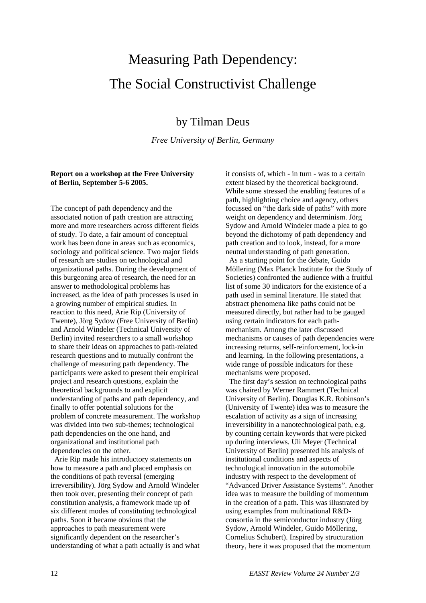# Measuring Path Dependency: The Social Constructivist Challenge

## by Tilman Deus

*Free University of Berlin, Germany*

### **Report on a workshop at the Free University of Berlin, September 5-6 2005.**

The concept of path dependency and the associated notion of path creation are attracting more and more researchers across different fields of study. To date, a fair amount of conceptual work has been done in areas such as economics, sociology and political science. Two major fields of research are studies on technological and organizational paths. During the development of this burgeoning area of research, the need for an answer to methodological problems has increased, as the idea of path processes is used in a growing number of empirical studies. In reaction to this need, Arie Rip (University of Twente), Jörg Sydow (Free University of Berlin) and Arnold Windeler (Technical University of Berlin) invited researchers to a small workshop to share their ideas on approaches to path-related research questions and to mutually confront the challenge of measuring path dependency. The participants were asked to present their empirical project and research questions, explain the theoretical backgrounds to and explicit understanding of paths and path dependency, and finally to offer potential solutions for the problem of concrete measurement. The workshop was divided into two sub-themes; technological path dependencies on the one hand, and organizational and institutional path dependencies on the other.

 Arie Rip made his introductory statements on how to measure a path and placed emphasis on the conditions of path reversal (emerging irreversibility). Jörg Sydow and Arnold Windeler then took over, presenting their concept of path constitution analysis, a framework made up of six different modes of constituting technological paths. Soon it became obvious that the approaches to path measurement were significantly dependent on the researcher's understanding of what a path actually is and what

it consists of, which - in turn - was to a certain extent biased by the theoretical background. While some stressed the enabling features of a path, highlighting choice and agency, others focussed on "the dark side of paths" with more weight on dependency and determinism. Jörg Sydow and Arnold Windeler made a plea to go beyond the dichotomy of path dependency and path creation and to look, instead, for a more neutral understanding of path generation.

 As a starting point for the debate, Guido Möllering (Max Planck Institute for the Study of Societies) confronted the audience with a fruitful list of some 30 indicators for the existence of a path used in seminal literature. He stated that abstract phenomena like paths could not be measured directly, but rather had to be gauged using certain indicators for each pathmechanism. Among the later discussed mechanisms or causes of path dependencies were increasing returns, self-reinforcement, lock-in and learning. In the following presentations, a wide range of possible indicators for these mechanisms were proposed.

 The first day's session on technological paths was chaired by Werner Rammert (Technical University of Berlin). Douglas K.R. Robinson's (University of Twente) idea was to measure the escalation of activity as a sign of increasing irreversibility in a nanotechnological path, e.g. by counting certain keywords that were picked up during interviews. Uli Meyer (Technical University of Berlin) presented his analysis of institutional conditions and aspects of technological innovation in the automobile industry with respect to the development of "Advanced Driver Assistance Systems". Another idea was to measure the building of momentum in the creation of a path. This was illustrated by using examples from multinational R&Dconsortia in the semiconductor industry (Jörg Sydow, Arnold Windeler, Guido Möllering, Cornelius Schubert). Inspired by structuration theory, here it was proposed that the momentum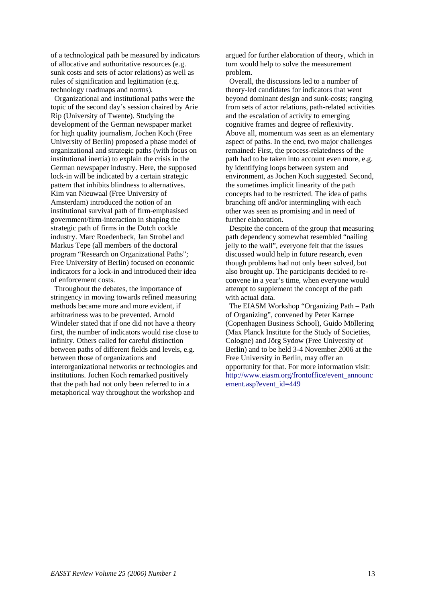of a technological path be measured by indicators of allocative and authoritative resources (e.g. sunk costs and sets of actor relations) as well as rules of signification and legitimation (e.g. technology roadmaps and norms).

 Organizational and institutional paths were the topic of the second day's session chaired by Arie Rip (University of Twente). Studying the development of the German newspaper market for high quality journalism, Jochen Koch (Free University of Berlin) proposed a phase model of organizational and strategic paths (with focus on institutional inertia) to explain the crisis in the German newspaper industry. Here, the supposed lock-in will be indicated by a certain strategic pattern that inhibits blindness to alternatives. Kim van Nieuwaal (Free University of Amsterdam) introduced the notion of an institutional survival path of firm-emphasised government/firm-interaction in shaping the strategic path of firms in the Dutch cockle industry. Marc Roedenbeck, Jan Strobel and Markus Tepe (all members of the doctoral program "Research on Organizational Paths"; Free University of Berlin) focused on economic indicators for a lock-in and introduced their idea of enforcement costs.

 Throughout the debates, the importance of stringency in moving towards refined measuring methods became more and more evident, if arbitrariness was to be prevented. Arnold Windeler stated that if one did not have a theory first, the number of indicators would rise close to infinity. Others called for careful distinction between paths of different fields and levels, e.g. between those of organizations and interorganizational networks or technologies and institutions. Jochen Koch remarked positively that the path had not only been referred to in a metaphorical way throughout the workshop and

argued for further elaboration of theory, which in turn would help to solve the measurement problem.

 Overall, the discussions led to a number of theory-led candidates for indicators that went beyond dominant design and sunk-costs; ranging from sets of actor relations, path-related activities and the escalation of activity to emerging cognitive frames and degree of reflexivity. Above all, momentum was seen as an elementary aspect of paths. In the end, two major challenges remained: First, the process-relatedness of the path had to be taken into account even more, e.g. by identifying loops between system and environment, as Jochen Koch suggested. Second, the sometimes implicit linearity of the path concepts had to be restricted. The idea of paths branching off and/or intermingling with each other was seen as promising and in need of further elaboration.

 Despite the concern of the group that measuring path dependency somewhat resembled "nailing jelly to the wall", everyone felt that the issues discussed would help in future research, even though problems had not only been solved, but also brought up. The participants decided to reconvene in a year's time, when everyone would attempt to supplement the concept of the path with actual data.

 The EIASM Workshop "Organizing Path – Path of Organizing", convened by Peter Karnøe (Copenhagen Business School), Guido Möllering (Max Planck Institute for the Study of Societies, Cologne) and Jörg Sydow (Free University of Berlin) and to be held 3-4 November 2006 at the Free University in Berlin, may offer an opportunity for that. For more information visit: [http://www.eiasm.org/frontoffice/event\\_announc](http://www.eiasm.org/frontoffice/event_announcement.asp?event_id=449) [ement.asp?event\\_id=449](http://www.eiasm.org/frontoffice/event_announcement.asp?event_id=449)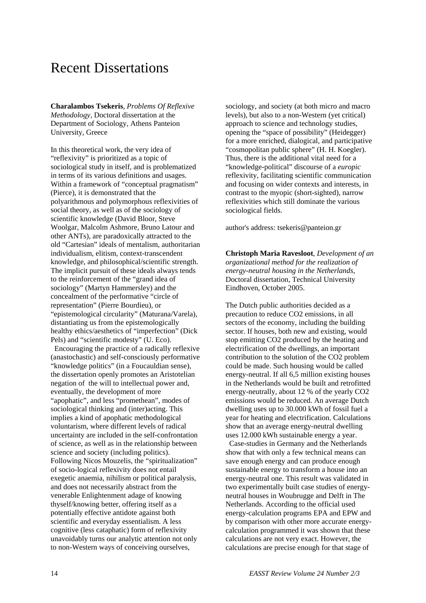# Recent Dissertations

**Charalambos Tsekeris**, *Problems Of Reflexive Methodology*, Doctoral dissertation at the Department of Sociology, Athens Panteion University, Greece

In this theoretical work, the very idea of "reflexivity" is prioritized as a topic of sociological study in itself, and is problematized in terms of its various definitions and usages. Within a framework of "conceptual pragmatism" (Pierce), it is demonstrated that the polyarithmous and polymorphous reflexivities of social theory, as well as of the sociology of scientific knowledge (David Bloor, Steve Woolgar, Malcolm Ashmore, Bruno Latour and other ANTs), are paradoxically attracted to the old "Cartesian" ideals of mentalism, authoritarian individualism, elitism, context-transcendent knowledge, and philosophical/scientific strength. The implicit pursuit of these ideals always tends to the reinforcement of the "grand idea of sociology" (Martyn Hammersley) and the concealment of the performative "circle of representation" (Pierre Bourdieu), or "epistemological circularity" (Maturana/Varela), distantiating us from the epistemologically healthy ethics/aesthetics of "imperfection" (Dick Pels) and "scientific modesty" (U. Eco).

 Encouraging the practice of a radically reflexive (anastochastic) and self-consciously performative "knowledge politics" (in a Foucauldian sense), the dissertation openly promotes an Aristotelian negation of the will to intellectual power and, eventually, the development of more "apophatic", and less "promethean", modes of sociological thinking and (inter)acting. This implies a kind of apophatic methodological voluntarism, where different levels of radical uncertainty are included in the self-confrontation of science, as well as in the relationship between science and society (including politics). Following Nicos Mouzelis, the "spiritualization" of socio-logical reflexivity does not entail exegetic anaemia, nihilism or political paralysis, and does not necessarily abstract from the venerable Enlightenment adage of knowing thyself/knowing better, offering itself as a potentially effective antidote against both scientific and everyday essentialism. A less cognitive (less cataphatic) form of reflexivity unavoidably turns our analytic attention not only to non-Western ways of conceiving ourselves,

sociology, and society (at both micro and macro levels), but also to a non-Western (yet critical) approach to science and technology studies, opening the "space of possibility" (Heidegger) for a more enriched, dialogical, and participative "cosmopolitan public sphere" (H. H. Koegler). Thus, there is the additional vital need for a "knowledge-political" discourse of a *europic* reflexivity, facilitating scientific communication and focusing on wider contexts and interests, in contrast to the myopic (short-sighted), narrow reflexivities which still dominate the various sociological fields.

author's address: tsekeris@panteion.gr

**Christoph Maria Ravesloot**, *Development of an organizational method for the realization of energy-neutral housing in the Netherlands*, Doctoral dissertation, Technical University Eindhoven, October 2005.

The Dutch public authorities decided as a precaution to reduce CO2 emissions, in all sectors of the economy, including the building sector. If houses, both new and existing, would stop emitting CO2 produced by the heating and electrification of the dwellings, an important contribution to the solution of the CO2 problem could be made. Such housing would be called energy-neutral. If all 6,5 million existing houses in the Netherlands would be built and retrofitted energy-neutrally, about 12 % of the yearly CO2 emissions would be reduced. An average Dutch dwelling uses up to 30.000 kWh of fossil fuel a year for heating and electrification. Calculations show that an average energy-neutral dwelling uses 12.000 kWh sustainable energy a year.

 Case-studies in Germany and the Netherlands show that with only a few technical means can save enough energy and can produce enough sustainable energy to transform a house into an energy-neutral one. This result was validated in two experimentally built case studies of energyneutral houses in Woubrugge and Delft in The Netherlands. According to the official used energy-calculation programs EPA and EPW and by comparison with other more accurate energycalculation programmed it was shown that these calculations are not very exact. However, the calculations are precise enough for that stage of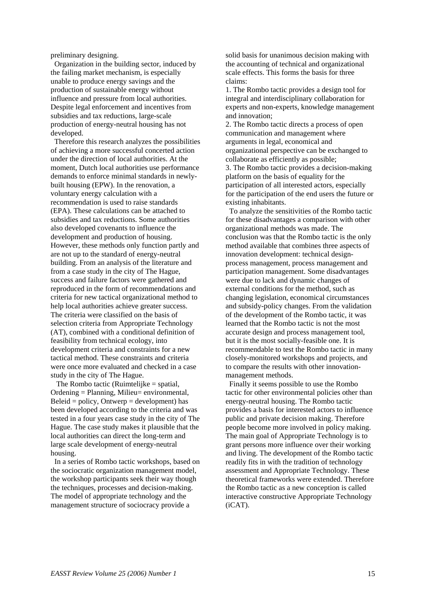preliminary designing.

 Organization in the building sector, induced by the failing market mechanism, is especially unable to produce energy savings and the production of sustainable energy without influence and pressure from local authorities. Despite legal enforcement and incentives from subsidies and tax reductions, large-scale production of energy-neutral housing has not developed.

 Therefore this research analyzes the possibilities of achieving a more successful concerted action under the direction of local authorities. At the moment, Dutch local authorities use performance demands to enforce minimal standards in newlybuilt housing (EPW). In the renovation, a voluntary energy calculation with a recommendation is used to raise standards (EPA). These calculations can be attached to subsidies and tax reductions. Some authorities also developed covenants to influence the development and production of housing. However, these methods only function partly and are not up to the standard of energy-neutral building. From an analysis of the literature and from a case study in the city of The Hague, success and failure factors were gathered and reproduced in the form of recommendations and criteria for new tactical organizational method to help local authorities achieve greater success. The criteria were classified on the basis of selection criteria from Appropriate Technology (AT), combined with a conditional definition of feasibility from technical ecology, into development criteria and constraints for a new tactical method. These constraints and criteria were once more evaluated and checked in a case study in the city of The Hague.

 The Rombo tactic (Ruimtelijke = spatial, Ordening = Planning, Milieu= environmental,  $Beleid = policy, Ontwerp = development)$  has been developed according to the criteria and was tested in a four years case study in the city of The Hague. The case study makes it plausible that the local authorities can direct the long-term and large scale development of energy-neutral housing.

 In a series of Rombo tactic workshops, based on the sociocratic organization management model, the workshop participants seek their way though the techniques, processes and decision-making. The model of appropriate technology and the management structure of sociocracy provide a

solid basis for unanimous decision making with the accounting of technical and organizational scale effects. This forms the basis for three claims:

1. The Rombo tactic provides a design tool for integral and interdisciplinary collaboration for experts and non-experts, knowledge management and innovation;

2. The Rombo tactic directs a process of open communication and management where arguments in legal, economical and organizational perspective can be exchanged to collaborate as efficiently as possible; 3. The Rombo tactic provides a decision-making platform on the basis of equality for the participation of all interested actors, especially for the participation of the end users the future or existing inhabitants.

 To analyze the sensitivities of the Rombo tactic for these disadvantages a comparison with other organizational methods was made. The conclusion was that the Rombo tactic is the only method available that combines three aspects of innovation development: technical designprocess management, process management and participation management. Some disadvantages were due to lack and dynamic changes of external conditions for the method, such as changing legislation, economical circumstances and subsidy-policy changes. From the validation of the development of the Rombo tactic, it was learned that the Rombo tactic is not the most accurate design and process management tool, but it is the most socially-feasible one. It is recommendable to test the Rombo tactic in many closely-monitored workshops and projects, and to compare the results with other innovationmanagement methods.

 Finally it seems possible to use the Rombo tactic for other environmental policies other than energy-neutral housing. The Rombo tactic provides a basis for interested actors to influence public and private decision making. Therefore people become more involved in policy making. The main goal of Appropriate Technology is to grant persons more influence over their working and living. The development of the Rombo tactic readily fits in with the tradition of technology assessment and Appropriate Technology. These theoretical frameworks were extended. Therefore the Rombo tactic as a new conception is called interactive constructive Appropriate Technology (iCAT).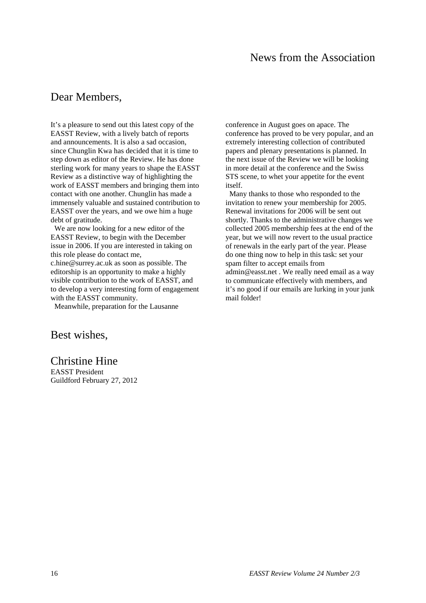# News from the Association

### Dear Members,

It's a pleasure to send out this latest copy of the EASST Review, with a lively batch of reports and announcements. It is also a sad occasion, since Chunglin Kwa has decided that it is time to step down as editor of the Review. He has done sterling work for many years to shape the EASST Review as a distinctive way of highlighting the work of EASST members and bringing them into contact with one another. Chunglin has made a immensely valuable and sustained contribution to EASST over the years, and we owe him a huge debt of gratitude.

 We are now looking for a new editor of the EASST Review, to begin with the December issue in 2006. If you are interested in taking on this role please do contact me, c.hine@surrey.ac.uk as soon as possible. The editorship is an opportunity to make a highly visible contribution to the work of EASST, and to develop a very interesting form of engagement with the EASST community.

Meanwhile, preparation for the Lausanne

Best wishes,

Christine Hine EASST President Guildford February 27, 2012 conference in August goes on apace. The conference has proved to be very popular, and an extremely interesting collection of contributed papers and plenary presentations is planned. In the next issue of the Review we will be looking in more detail at the conference and the Swiss STS scene, to whet your appetite for the event itself.

 Many thanks to those who responded to the invitation to renew your membership for 2005. Renewal invitations for 2006 will be sent out shortly. Thanks to the administrative changes we collected 2005 membership fees at the end of the year, but we will now revert to the usual practice of renewals in the early part of the year. Please do one thing now to help in this task: set your spam filter to accept emails from admin@easst.net . We really need email as a way to communicate effectively with members, and it's no good if our emails are lurking in your junk mail folder!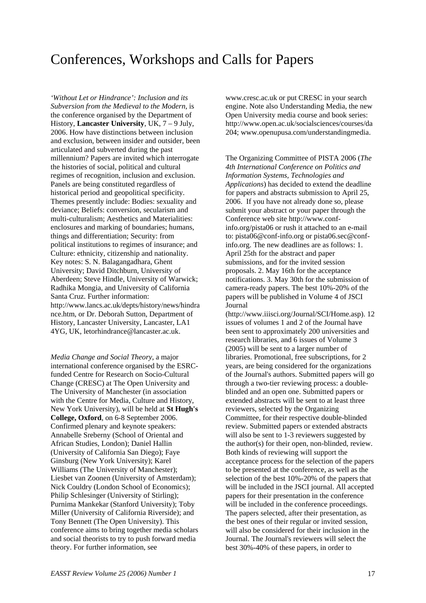# Conferences, Workshops and Calls for Papers

*'Without Let or Hindrance': Inclusion and its Subversion from the Medieval to the Modern*, is the conference organised by the Department of History, **Lancaster University**, UK, 7 – 9 July, 2006. How have distinctions between inclusion and exclusion, between insider and outsider, been articulated and subverted during the past millennium? Papers are invited which interrogate the histories of social, political and cultural regimes of recognition, inclusion and exclusion. Panels are being constituted regardless of historical period and geopolitical specificity. Themes presently include: Bodies: sexuality and deviance; Beliefs: conversion, secularism and multi-culturalism; Aesthetics and Materialities: enclosures and marking of boundaries; humans, things and differentiation; Security: from political institutions to regimes of insurance; and Culture: ethnicity, citizenship and nationality. Key notes: S. N. Balagangadhara, Ghent University; David Ditchburn, University of Aberdeen; Steve Hindle, University of Warwick; Radhika Mongia, and University of California Santa Cruz. Further information: http://www.lancs.ac.uk/depts/history/news/hindra nce.htm, or Dr. Deborah Sutton, Department of History, Lancaster University, Lancaster, LA1 4YG, UK, letorhindrance@lancaster.ac.uk.

*Media Change and Social Theory*, a major international conference organised by the ESRCfunded Centre for Research on Socio-Cultural Change (CRESC) at The Open University and The University of Manchester (in association with the Centre for Media, Culture and History, New York University), will be held at **St Hugh's College, Oxford**, on 6-8 September 2006. Confirmed plenary and keynote speakers: Annabelle Sreberny (School of Oriental and African Studies, London); Daniel Hallin (University of California San Diego); Faye Ginsburg (New York University); Karel Williams (The University of Manchester); Liesbet van Zoonen (University of Amsterdam); Nick Couldry (London School of Economics); Philip Schlesinger (University of Stirling); Purnima Mankekar (Stanford University); Toby Miller (University of California Riverside); and Tony Bennett (The Open University). This conference aims to bring together media scholars and social theorists to try to push forward media theory. For further information, see

www.cresc.ac.uk or put CRESC in your search engine. Note also Understanding Media, the new Open University media course and book series: http://www.open.ac.uk/socialsciences/courses/da 204; www.openupusa.com/understandingmedia.

The Organizing Committee of PISTA 2006 (*The 4th International Conference on Politics and Information Systems, Technologies and Applications*) has decided to extend the deadline for papers and abstracts submission to April 25, 2006. If you have not already done so, please submit your abstract or your paper through the Conference web site http://www.confinfo.org/pista06 or rush it attached to an e-mail to: pista06@conf-info.org or pista06.sec@confinfo.org. The new deadlines are as follows: 1. April 25th for the abstract and paper submissions, and for the invited session proposals. 2. May 16th for the acceptance notifications. 3. May 30th for the submission of camera-ready papers. The best 10%-20% of the papers will be published in Volume 4 of JSCI Journal

(http://www.iiisci.org/Journal/SCI/Home.asp). 12 issues of volumes 1 and 2 of the Journal have been sent to approximately 200 universities and research libraries, and 6 issues of Volume 3 (2005) will be sent to a larger number of libraries. Promotional, free subscriptions, for 2 years, are being considered for the organizations of the Journal's authors. Submitted papers will go through a two-tier reviewing process: a doubleblinded and an open one. Submitted papers or extended abstracts will be sent to at least three reviewers, selected by the Organizing Committee, for their respective double-blinded review. Submitted papers or extended abstracts will also be sent to 1-3 reviewers suggested by the author(s) for their open, non-blinded, review. Both kinds of reviewing will support the acceptance process for the selection of the papers to be presented at the conference, as well as the selection of the best 10%-20% of the papers that will be included in the JSCI journal. All accepted papers for their presentation in the conference will be included in the conference proceedings. The papers selected, after their presentation, as the best ones of their regular or invited session, will also be considered for their inclusion in the Journal. The Journal's reviewers will select the best 30%-40% of these papers, in order to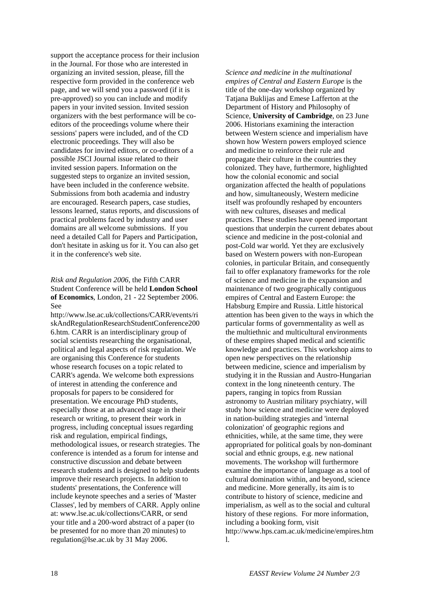support the acceptance process for their inclusion in the Journal. For those who are interested in organizing an invited session, please, fill the respective form provided in the conference web page, and we will send you a password (if it is pre-approved) so you can include and modify papers in your invited session. Invited session organizers with the best performance will be coeditors of the proceedings volume where their sessions' papers were included, and of the CD electronic proceedings. They will also be candidates for invited editors, or co-editors of a possible JSCI Journal issue related to their invited session papers. Information on the suggested steps to organize an invited session, have been included in the conference website. Submissions from both academia and industry are encouraged. Research papers, case studies, lessons learned, status reports, and discussions of practical problems faced by industry and user domains are all welcome submissions. If you need a detailed Call for Papers and Participation, don't hesitate in asking us for it. You can also get it in the conference's web site.

### *Risk and Regulation 2006*, the Fifth CARR Student Conference will be held **London School of Economics**, London, 21 - 22 September 2006. See

http://www.lse.ac.uk/collections/CARR/events/ri skAndRegulationResearchStudentConference200 6.htm. CARR is an interdisciplinary group of social scientists researching the organisational, political and legal aspects of risk regulation. We are organising this Conference for students whose research focuses on a topic related to CARR's agenda. We welcome both expressions of interest in attending the conference and proposals for papers to be considered for presentation. We encourage PhD students, especially those at an advanced stage in their research or writing, to present their work in progress, including conceptual issues regarding risk and regulation, empirical findings, methodological issues, or research strategies. The conference is intended as a forum for intense and constructive discussion and debate between research students and is designed to help students improve their research projects. In addition to students' presentations, the Conference will include keynote speeches and a series of 'Master Classes', led by members of CARR. Apply online at: www.lse.ac.uk/collections/CARR, or send your title and a 200-word abstract of a paper (to be presented for no more than 20 minutes) to regulation@lse.ac.uk by 31 May 2006.

*Science and medicine in the multinational empires of Central and Eastern Europe* is the title of the one-day workshop organized by Tatjana Buklijas and Emese Lafferton at the Department of History and Philosophy of Science, **University of Cambridge**, on 23 June 2006. Historians examining the interaction between Western science and imperialism have shown how Western powers employed science and medicine to reinforce their rule and propagate their culture in the countries they colonized. They have, furthermore, highlighted how the colonial economic and social organization affected the health of populations and how, simultaneously, Western medicine itself was profoundly reshaped by encounters with new cultures, diseases and medical practices. These studies have opened important questions that underpin the current debates about science and medicine in the post-colonial and post-Cold war world. Yet they are exclusively based on Western powers with non-European colonies, in particular Britain, and consequently fail to offer explanatory frameworks for the role of science and medicine in the expansion and maintenance of two geographically contiguous empires of Central and Eastern Europe: the Habsburg Empire and Russia. Little historical attention has been given to the ways in which the particular forms of governmentality as well as the multiethnic and multicultural environments of these empires shaped medical and scientific knowledge and practices. This workshop aims to open new perspectives on the relationship between medicine, science and imperialism by studying it in the Russian and Austro-Hungarian context in the long nineteenth century. The papers, ranging in topics from Russian astronomy to Austrian military psychiatry, will study how science and medicine were deployed in nation-building strategies and 'internal colonization' of geographic regions and ethnicities, while, at the same time, they were appropriated for political goals by non-dominant social and ethnic groups, e.g. new national movements. The workshop will furthermore examine the importance of language as a tool of cultural domination within, and beyond, science and medicine. More generally, its aim is to contribute to history of science, medicine and imperialism, as well as to the social and cultural history of these regions. For more information, including a booking form, visit http://www.hps.cam.ac.uk/medicine/empires.htm l.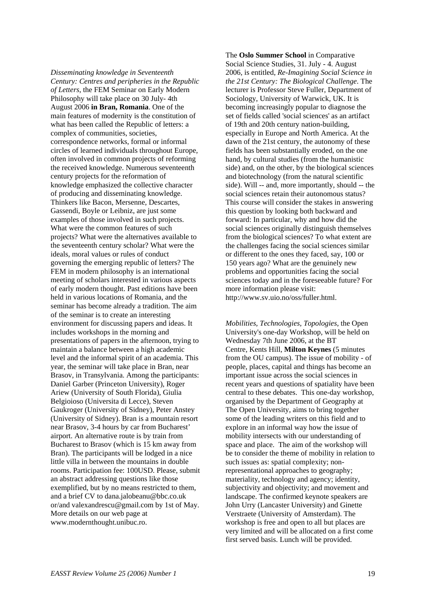*Disseminating knowledge in Seventeenth Century: Centres and peripheries in the Republic of Letters*, the FEM Seminar on Early Modern Philosophy will take place on 30 July- 4th August 2006 **in Bran, Romania**. One of the main features of modernity is the constitution of what has been called the Republic of letters: a complex of communities, societies, correspondence networks, formal or informal circles of learned individuals throughout Europe, often involved in common projects of reforming the received knowledge. Numerous seventeenth century projects for the reformation of knowledge emphasized the collective character of producing and disseminating knowledge. Thinkers like Bacon, Mersenne, Descartes, Gassendi, Boyle or Leibniz, are just some examples of those involved in such projects. What were the common features of such projects? What were the alternatives available to the seventeenth century scholar? What were the ideals, moral values or rules of conduct governing the emerging republic of letters? The FEM in modern philosophy is an international meeting of scholars interested in various aspects of early modern thought. Past editions have been held in various locations of Romania, and the seminar has become already a tradition. The aim of the seminar is to create an interesting environment for discussing papers and ideas. It includes workshops in the morning and presentations of papers in the afternoon, trying to maintain a balance between a high academic level and the informal spirit of an academia. This year, the seminar will take place in Bran, near Brasov, in Transylvania. Among the participants: Daniel Garber (Princeton University), Roger Ariew (University of South Florida), Giulia Belgioioso (Universita di Lecce), Steven Gaukroger (University of Sidney), Peter Anstey (University of Sidney). Bran is a mountain resort near Brasov, 3-4 hours by car from Bucharest' airport. An alternative route is by train from Bucharest to Brasov (which is 15 km away from Bran). The participants will be lodged in a nice little villa in between the mountains in double rooms. Participation fee: 100USD. Please, submit an abstract addressing questions like those exemplified, but by no means restricted to them, and a brief CV to dana.jalobeanu@bbc.co.uk or/and valexandrescu@gmail.com by 1st of May. More details on our web page at www.modernthought.unibuc.ro.

The **Oslo Summer School** in Comparative Social Science Studies, 31. July - 4. August 2006, is entitled, *Re-Imagining Social Science in the 21st Century: The Biological Challenge*. The lecturer is Professor Steve Fuller, Department of Sociology, University of Warwick, UK. It is becoming increasingly popular to diagnose the set of fields called 'social sciences' as an artifact of 19th and 20th century nation-building, especially in Europe and North America. At the dawn of the 21st century, the autonomy of these fields has been substantially eroded, on the one hand, by cultural studies (from the humanistic side) and, on the other, by the biological sciences and biotechnology (from the natural scientific side). Will -- and, more importantly, should -- the social sciences retain their autonomous status? This course will consider the stakes in answering this question by looking both backward and forward: In particular, why and how did the social sciences originally distinguish themselves from the biological sciences? To what extent are the challenges facing the social sciences similar or different to the ones they faced, say, 100 or 150 years ago? What are the genuinely new problems and opportunities facing the social sciences today and in the foreseeable future? For more information please visit: http://www.sv.uio.no/oss/fuller.html.

*Mobilities, Technologies, Topologies*, the Open University's one-day Workshop, will be held on Wednesday 7th June 2006, at the BT Centre, Kents Hill, **Milton Keynes** (5 minutes from the OU campus). The issue of mobility - of people, places, capital and things has become an important issue across the social sciences in recent years and questions of spatiality have been central to these debates. This one-day workshop, organised by the Department of Geography at The Open University, aims to bring together some of the leading writers on this field and to explore in an informal way how the issue of mobility intersects with our understanding of space and place. The aim of the workshop will be to consider the theme of mobility in relation to such issues as: spatial complexity; nonrepresentational approaches to geography; materiality, technology and agency; identity, subjectivity and objectivity; and movement and landscape. The confirmed keynote speakers are John Urry (Lancaster University) and Ginette Verstraete (University of Amsterdam). The workshop is free and open to all but places are very limited and will be allocated on a first come first served basis. Lunch will be provided.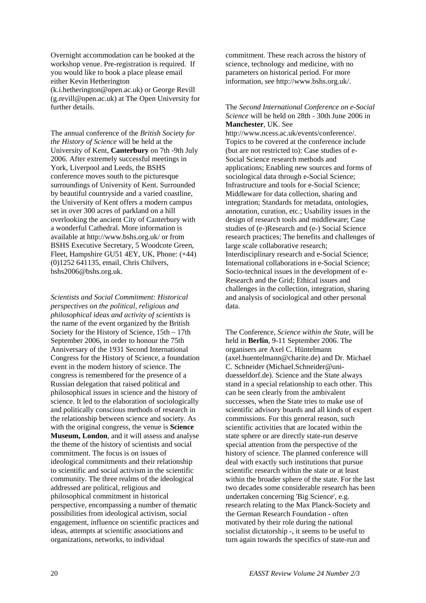Overnight accommodation can be booked at the workshop venue. Pre-registration is required. If you would like to book a place please email either Kevin Hetherington (k.i.hetherington@open.ac.uk) or George Revill (g.revill@open.ac.uk) at The Open University for further details.

The annual conference of the *British Society for the History of Science* will be held at the University of Kent, **Canterbury** on 7th -9th July 2006. After extremely successful meetings in York, Liverpool and Leeds, the BSHS conference moves south to the picturesque surroundings of University of Kent. Surrounded by beautiful countryside and a varied coastline, the University of Kent offers a modern campus set in over 300 acres of parkland on a hill overlooking the ancient City of Canterbury with a wonderful Cathedral. More information is available at http://www.bshs.org.uk/ or from BSHS Executive Secretary, 5 Woodcote Green, Fleet, Hampshire GU51 4EY, UK, Phone: (+44) (0)1252 641135, email, Chris Chilvers, bshs2006@bshs.org.uk.

*Scientists and Social Commitment: Historical perspectives on the political, religious and philosophical ideas and activity of scientists* is the name of the event organized by the British Society for the History of Science, 15th – 17th September 2006, in order to honour the 75th Anniversary of the 1931 Second International Congress for the History of Science, a foundation event in the modern history of science. The congress is remembered for the presence of a Russian delegation that raised political and philosophical issues in science and the history of science. It led to the elaboration of sociologically and politically conscious methods of research in the relationship between science and society. As with the original congress, the venue is **Science Museum, London**, and it will assess and analyse the theme of the history of scientists and social commitment. The focus is on issues of ideological commitments and their relationship to scientific and social activism in the scientific community. The three realms of the ideological addressed are political, religious and philosophical commitment in historical perspective, encompassing a number of thematic possibilities from ideological activism, social engagement, influence on scientific practices and ideas, attempts at scientific associations and organizations, networks, to individual

commitment. These reach across the history of science, technology and medicine, with no parameters on historical period. For more information, see http://www.bshs.org.uk/.

The *Second International Conference on e-Social Science* will be held on 28th - 30th June 2006 in **Manchester**, UK. See

http://www.ncess.ac.uk/events/conference/. Topics to be covered at the conference include (but are not restricted to): Case studies of e-Social Science research methods and applications; Enabling new sources and forms of sociological data through e-Social Science; Infrastructure and tools for e-Social Science; Middleware for data collection, sharing and integration; Standards for metadata, ontologies, annotation, curation, etc.; Usability issues in the design of research tools and middleware; Case studies of (e-)Research and (e-) Social Science research practices; The benefits and challenges of large scale collaborative research; Interdisciplinary research and e-Social Science; International collaborations in e-Social Science; Socio-technical issues in the development of e-Research and the Grid; Ethical issues and challenges in the collection, integration, sharing and analysis of sociological and other personal data.

The Conference, *Science within the State*, will be held in **Berlin**, 9-11 September 2006. The organisers are Axel C. Hüntelmann (axel.huentelmann@charite.de) and Dr. Michael C. Schneider (Michael.Schneider@uniduesseldorf.de). Science and the State always stand in a special relationship to each other. This can be seen clearly from the ambivalent successes, when the State tries to make use of scientific advisory boards and all kinds of expert commissions. For this general reason, such scientific activities that are located within the state sphere or are directly state-run deserve special attention from the perspective of the history of science. The planned conference will deal with exactly such institutions that pursue scientific research within the state or at least within the broader sphere of the state. For the last two decades some considerable research has been undertaken concerning 'Big Science', e.g. research relating to the Max Planck-Society and the German Research Foundation - often motivated by their role during the national socialist dictatorship -, it seems to be useful to turn again towards the specifics of state-run and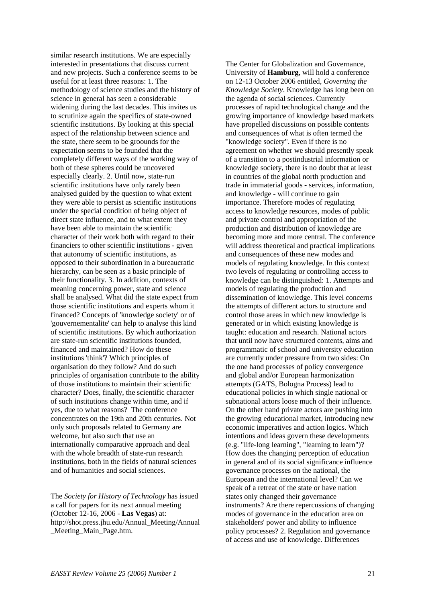similar research institutions. We are especially interested in presentations that discuss current and new projects. Such a conference seems to be useful for at least three reasons: 1. The methodology of science studies and the history of science in general has seen a considerable widening during the last decades. This invites us to scrutinize again the specifics of state-owned scientific institutions. By looking at this special aspect of the relationship between science and the state, there seem to be groounds for the expectation seems to be founded that the completely different ways of the working way of both of these spheres could be uncovered especially clearly. 2. Until now, state-run scientific institutions have only rarely been analysed guided by the question to what extent they were able to persist as scientific institutions under the special condition of being object of direct state influence, and to what extent they have been able to maintain the scientific character of their work both with regard to their financiers to other scientific institutions - given that autonomy of scientific institutions, as opposed to their subordination in a bureaucratic hierarchy, can be seen as a basic principle of their functionality. 3. In addition, contexts of meaning concerning power, state and science shall be analysed. What did the state expect from those scientific institutions and experts whom it financed? Concepts of 'knowledge society' or of 'gouvernementalite' can help to analyse this kind of scientific institutions. By which authorization are state-run scientific institutions founded, financed and maintained? How do these institutions 'think'? Which principles of organisation do they follow? And do such principles of organisation contribute to the ability of those institutions to maintain their scientific character? Does, finally, the scientific character of such institutions change within time, and if yes, due to what reasons? The conference concentrates on the 19th and 20th centuries. Not only such proposals related to Germany are welcome, but also such that use an internationally comparative approach and deal with the whole breadth of state-run research institutions, both in the fields of natural sciences and of humanities and social sciences.

The *Society for History of Technology* has issued a call for papers for its next annual meeting (October 12-16, 2006 - **Las Vegas**) at: http://shot.press.jhu.edu/Annual\_Meeting/Annual \_Meeting\_Main\_Page.htm.

The Center for Globalization and Governance, University of **Hamburg**, will hold a conference on 12-13 October 2006 entitled, *Governing the Knowledge Society*. Knowledge has long been on the agenda of social sciences. Currently processes of rapid technological change and the growing importance of knowledge based markets have propelled discussions on possible contents and consequences of what is often termed the "knowledge society". Even if there is no agreement on whether we should presently speak of a transition to a postindustrial information or knowledge society, there is no doubt that at least in countries of the global north production and trade in immaterial goods - services, information, and knowledge - will continue to gain importance. Therefore modes of regulating access to knowledge resources, modes of public and private control and appropriation of the production and distribution of knowledge are becoming more and more central. The conference will address theoretical and practical implications and consequences of these new modes and models of regulating knowledge. In this context two levels of regulating or controlling access to knowledge can be distinguished: 1. Attempts and models of regulating the production and dissemination of knowledge. This level concerns the attempts of different actors to structure and control those areas in which new knowledge is generated or in which existing knowledge is taught: education and research. National actors that until now have structured contents, aims and programmatic of school and university education are currently under pressure from two sides: On the one hand processes of policy convergence and global and/or European harmonization attempts (GATS, Bologna Process) lead to educational policies in which single national or subnational actors loose much of their influence. On the other hand private actors are pushing into the growing educational market, introducing new economic imperatives and action logics. Which intentions and ideas govern these developments (e.g. "life-long learning", "learning to learn")? How does the changing perception of education in general and of its social significance influence governance processes on the national, the European and the international level? Can we speak of a retreat of the state or have nation states only changed their governance instruments? Are there repercussions of changing modes of governance in the education area on stakeholders' power and ability to influence policy processes? 2. Regulation and governance of access and use of knowledge. Differences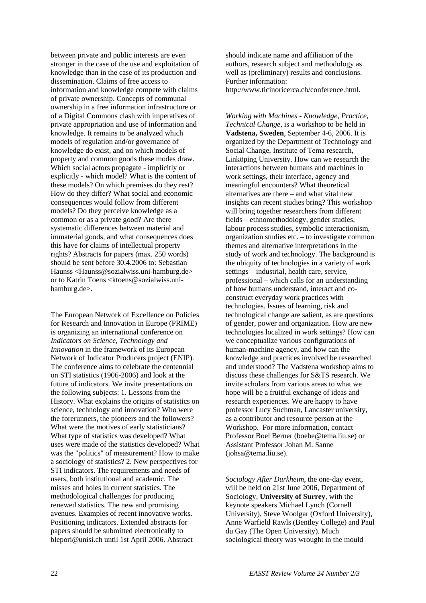between private and public interests are even stronger in the case of the use and exploitation of knowledge than in the case of its production and dissemination. Claims of free access to information and knowledge compete with claims of private ownership. Concepts of communal ownership in a free information infrastructure or of a Digital Commons clash with imperatives of private appropriation and use of information and knowledge. It remains to be analyzed which models of regulation and/or governance of knowledge do exist, and on which models of property and common goods these modes draw. Which social actors propagate - implicitly or explicitly - which model? What is the content of these models? On which premises do they rest? How do they differ? What social and economic consequences would follow from different models? Do they perceive knowledge as a common or as a private good? Are there systematic differences between material and immaterial goods, and what consequences does this have for claims of intellectual property rights? Abstracts for papers (max. 250 words) should be sent before 30.4.2006 to: Sebastian Haunss <Haunss@sozialwiss.uni-hamburg.de> or to Katrin Toens <ktoens@sozialwiss.unihamburg.de>.

The European Network of Excellence on Policies for Research and Innovation in Europe (PRIME) is organizing an international conference on *Indicators on Science, Technology and Innovation* in the framework of its European Network of Indicator Producers project (ENIP). The conference aims to celebrate the centennial on STI statistics (1906-2006) and look at the future of indicators. We invite presentations on the following subjects: 1. Lessons from the History. What explains the origins of statistics on science, technology and innovation? Who were the forerunners, the pioneers and the followers? What were the motives of early statisticians? What type of statistics was developed? What uses were made of the statistics developed? What was the "politics" of measurement? How to make a sociology of statistics? 2. New perspectives for STI indicators. The requirements and needs of users, both institutional and academic. The misses and holes in current statistics. The methodological challenges for producing renewed statistics. The new and promising avenues. Examples of recent innovative works. Positioning indicators. Extended abstracts for papers should be submitted electronically to blepori@unisi.ch until 1st April 2006. Abstract

should indicate name and affiliation of the authors, research subject and methodology as well as (preliminary) results and conclusions. Further information: http://www.ticinoricerca.ch/conference.html.

*Working with Machines - Knowledge, Practice, Technical Change*, is a workshop to be held in **Vadstena, Sweden**, September 4-6, 2006. It is organized by the Department of Technology and Social Change, Institute of Tema research, Linköping University. How can we research the interactions between humans and machines in work settings, their interface, agency and meaningful encounters? What theoretical alternatives are there – and what vital new insights can recent studies bring? This workshop will bring together researchers from different fields – ethnomethodology, gender studies, labour process studies, symbolic interactionism, organization studies etc. – to investigate common themes and alternative interpretations in the study of work and technology. The background is the ubiquity of technologies in a variety of work settings – industrial, health care, service, professional – which calls for an understanding of how humans understand, interact and coconstruct everyday work practices with technologies. Issues of learning, risk and technological change are salient, as are questions of gender, power and organization. How are new technologies localized in work settings? How can we conceptualize various configurations of human-machine agency, and how can the knowledge and practices involved be researched and understood? The Vadstena workshop aims to discuss these challenges for S&TS research. We invite scholars from various areas to what we hope will be a fruitful exchange of ideas and research experiences. We are happy to have professor Lucy Suchman, Lancaster university, as a contributor and resource person at the Workshop. For more information, contact Professor Boel Berner (boebe@tema.liu.se) or Assistant Professor Johan M. Sanne (johsa@tema.liu.se).

*Sociology After Durkheim*, the one-day event, will be held on 21st June 2006, Department of Sociology, **University of Surrey**, with the keynote speakers Michael Lynch (Cornell University), Steve Woolgar (Oxford University), Anne Warfield Rawls (Bentley College) and Paul du Gay (The Open University). Much sociological theory was wrought in the mould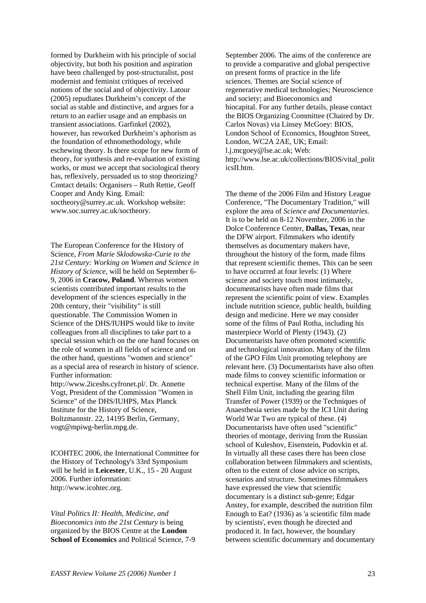formed by Durkheim with his principle of social objectivity, but both his position and aspiration have been challenged by post-structuralist, post modernist and feminist critiques of received notions of the social and of objectivity. Latour (2005) repudiates Durkheim's concept of the social as stable and distinctive, and argues for a return to an earlier usage and an emphasis on transient associations. Garfinkel (2002), however, has reworked Durkheim's aphorism as the foundation of ethnomethodology, while eschewing theory. Is there scope for new form of theory, for synthesis and re-evaluation of existing works, or must we accept that sociological theory has, reflexively, persuaded us to stop theorizing? Contact details: Organisers – Ruth Rettie, Geoff Cooper and Andy King. Email: soctheory@surrey.ac.uk. Workshop website: www.soc.surrey.ac.uk/soctheory.

The European Conference for the History of Science, *From Marie Sklodowska-Curie to the 21st Century: Working on Women and Science in History of Science*, will be held on September 6- 9, 2006 in **Cracow, Poland**. Whereas women scientists contributed important results to the development of the sciences especially in the 20th century, their "visibility" is still questionable. The Commission Women in Science of the DHS/IUHPS would like to invite colleagues from all disciplines to take part to a special session which on the one hand focuses on the role of women in all fields of science and on the other hand, questions "women and science" as a special area of research in history of science. Further information:

http://www.2iceshs.cyfronet.pl/. Dr. Annette Vogt, President of the Commission "Women in Science" of the DHS/IUHPS, Max Planck Institute for the History of Science, Boltzmannstr. 22, 14195 Berlin, Germany, vogt@mpiwg-berlin.mpg.de.

ICOHTEC 2006, the International Committee for the History of Technology's 33rd Symposium will be held in **Leicester**, U.K., 15 - 20 August 2006. Further information: http://www.icohtec.org.

*Vital Politics II: Health, Medicine, and Bioeconomics into the 21st Century* is being organized by the BIOS Centre at the **London School of Economics** and Political Science, 7-9

September 2006. The aims of the conference are to provide a comparative and global perspective on present forms of practice in the life sciences. Themes are Social science of regenerative medical technologies; Neuroscience and society; and Bioeconomics and biocapital. For any further details, please contact the BIOS Organizing Committee (Chaired by Dr. Carlos Novas) via Linsey McGoey: BIOS, London School of Economics, Houghton Street, London, WC2A 2AE, UK; Email: l.j.mcgoey@lse.ac.uk; Web: http://www.lse.ac.uk/collections/BIOS/vital\_polit icsII.htm.

The theme of the 2006 Film and History League Conference, "The Documentary Tradition," will explore the area of *Science and Documentaries*. It is to be held on 8-12 November, 2006 in the Dolce Conference Center, **Dallas, Texas**, near the DFW airport. Filmmakers who identify themselves as documentary makers have, throughout the history of the form, made films that represent scientific themes. This can be seen to have occurred at four levels: (1) Where science and society touch most intimately, documentarists have often made films that represent the scientific point of view. Examples include nutrition science, public health, building design and medicine. Here we may consider some of the films of Paul Rotha, including his masterpiece World of Plenty (1943). (2) Documentarists have often promoted scientific and technological innovation. Many of the films of the GPO Film Unit promoting telephony are relevant here. (3) Documentarists have also often made films to convey scientific information or technical expertise. Many of the films of the Shell Film Unit, including the gearing film Transfer of Power (1939) or the Techniques of Anaesthesia series made by the ICI Unit during World War Two are typical of these. (4) Documentarists have often used "scientific" theories of montage, deriving from the Russian school of Kuleshov, Eisenstein, Pudovkin et al. In virtually all these cases there has been close collaboration between filmmakers and scientists, often to the extent of close advice on scripts, scenarios and structure. Sometimes filmmakers have expressed the view that scientific documentary is a distinct sub-genre; Edgar Anstey, for example, described the nutrition film Enough to Eat? (1936) as 'a scientific film made by scientists', even though he directed and produced it. In fact, however, the boundary between scientific documentary and documentary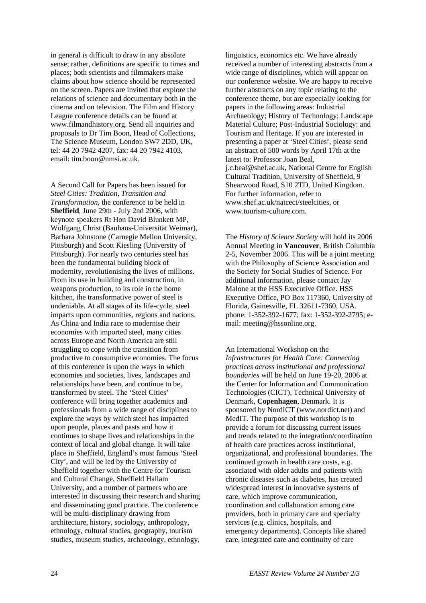in general is difficult to draw in any absolute sense; rather, definitions are specific to times and places; both scientists and filmmakers make claims about how science should be represented on the screen. Papers are invited that explore the relations of science and documentary both in the cinema and on television. The Film and History League conference details can be found at www.filmandhistory.org. Send all inquiries and proposals to Dr Tim Boon, Head of Collections, The Science Museum, London SW7 2DD, UK, tel: 44 20 7942 4207, fax: 44 20 7942 4103, email: tim.boon@nmsi.ac.uk.

A Second Call for Papers has been issued for *Steel Cities: Tradition, Transition and Transformation*, the conference to be held in **Sheffield**, June 29th - July 2nd 2006, with keynote speakers Rt Hon David Blunkett MP, Wolfgang Christ (Bauhaus-Universität Weimar), Barbara Johnstone (Carnegie Mellon University, Pittsburgh) and Scott Kiesling (University of Pittsburgh). For nearly two centuries steel has been the fundamental building block of modernity, revolutionising the lives of millions. From its use in building and construction, in weapons production, to its role in the home kitchen, the transformative power of steel is undeniable. At all stages of its life-cycle, steel impacts upon communities, regions and nations. As China and India race to modernise their economies with imported steel, many cities across Europe and North America are still struggling to cope with the transition from productive to consumptive economies. The focus of this conference is upon the ways in which economies and societies, lives, landscapes and relationships have been, and continue to be, transformed by steel. The 'Steel Cities' conference will bring together academics and professionals from a wide range of disciplines to explore the ways by which steel has impacted upon people, places and pasts and how it continues to shape lives and relationships in the context of local and global change. It will take place in Sheffield, England's most famous 'Steel City', and will be led by the University of Sheffield together with the Centre for Tourism and Cultural Change, Sheffield Hallam University, and a number of partners who are interested in discussing their research and sharing and disseminating good practice. The conference will be multi-disciplinary drawing from architecture, history, sociology, anthropology, ethnology, cultural studies, geography, tourism studies, museum studies, archaeology, ethnology,

linguistics, economics etc. We have already received a number of interesting abstracts from a wide range of disciplines, which will appear on our conference website. We are happy to receive further abstracts on any topic relating to the conference theme, but are especially looking for papers in the following areas: Industrial Archaeology; History of Technology; Landscape Material Culture; Post-Industrial Sociology; and Tourism and Heritage. If you are interested in presenting a paper at 'Steel Cities', please send an abstract of 500 words by April 17th at the latest to: Professor Joan Beal, j.c.beal@shef.ac.uk, National Centre for English Cultural Tradition, University of Sheffield, 9 Shearwood Road, S10 2TD, United Kingdom. For further information, refer to www.shef.ac.uk/natcect/steelcities, or www.tourism-culture.com.

The *History of Science Society* will hold its 2006 Annual Meeting in **Vancouver**, British Columbia 2-5, November 2006. This will be a joint meeting with the Philosophy of Science Association and the Society for Social Studies of Science. For additional information, please contact Jay Malone at the HSS Executive Office. HSS Executive Office, PO Box 117360, University of Florida, Gainesville, FL 32611-7360, USA. phone: 1-352-392-1677; fax: 1-352-392-2795; email: meeting@hssonline.org.

An International Workshop on the *Infrastructures for Health Care: Connecting practices across institutional and professional boundaries* will be held on June 19-20, 2006 at the Center for Information and Communication Technologies (CICT), Technical University of Denmark, **Copenhagen**, Denmark. It is sponsored by NordICT (www.nordict.net) and MedIT. The purpose of this workshop is to provide a forum for discussing current issues and trends related to the integration/coordination of health care practices across institutional, organizational, and professional boundaries. The continued growth in health care costs, e.g. associated with older adults and patients with chronic diseases such as diabetes, has created widespread interest in innovative systems of care, which improve communication, coordination and collaboration among care providers, both in primary care and specialty services (e.g. clinics, hospitals, and emergency departments). Concepts like shared care, integrated care and continuity of care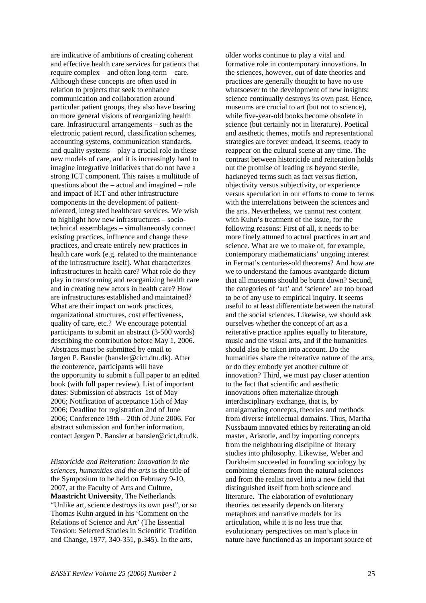are indicative of ambitions of creating coherent and effective health care services for patients that require complex – and often long-term – care. Although these concepts are often used in relation to projects that seek to enhance communication and collaboration around particular patient groups, they also have bearing on more general visions of reorganizing health care. Infrastructural arrangements – such as the electronic patient record, classification schemes, accounting systems, communication standards, and quality systems – play a crucial role in these new models of care, and it is increasingly hard to imagine integrative initiatives that do not have a strong ICT component. This raises a multitude of questions about the – actual and imagined – role and impact of ICT and other infrastructure components in the development of patientoriented, integrated healthcare services. We wish to highlight how new infrastructures – sociotechnical assemblages – simultaneously connect existing practices, influence and change these practices, and create entirely new practices in health care work (e.g. related to the maintenance of the infrastructure itself). What characterizes infrastructures in health care? What role do they play in transforming and reorganizing health care and in creating new actors in health care? How are infrastructures established and maintained? What are their impact on work practices, organizational structures, cost effectiveness, quality of care, etc.? We encourage potential participants to submit an abstract (3-500 words) describing the contribution before May 1, 2006. Abstracts must be submitted by email to Jørgen P. Bansler (bansler@cict.dtu.dk). After the conference, participants will have the opportunity to submit a full paper to an edited book (with full paper review). List of important dates: Submission of abstracts 1st of May 2006; Notification of acceptance 15th of May 2006; Deadline for registration 2nd of June 2006; Conference 19th – 20th of June 2006. For abstract submission and further information, contact Jørgen P. Bansler at bansler@cict.dtu.dk.

*Historicide and Reiteration: Innovation in the sciences, humanities and the arts* is the title of the Symposium to be held on February 9-10, 2007, at the Faculty of Arts and Culture, **Maastricht University**, The Netherlands. "Unlike art, science destroys its own past", or so Thomas Kuhn argued in his 'Comment on the Relations of Science and Art' (The Essential Tension: Selected Studies in Scientific Tradition and Change, 1977, 340-351, p.345). In the arts,

older works continue to play a vital and formative role in contemporary innovations. In the sciences, however, out of date theories and practices are generally thought to have no use whatsoever to the development of new insights: science continually destroys its own past. Hence, museums are crucial to art (but not to science), while five-year-old books become obsolete in science (but certainly not in literature). Poetical and aesthetic themes, motifs and representational strategies are forever undead, it seems, ready to reappear on the cultural scene at any time. The contrast between historicide and reiteration holds out the promise of leading us beyond sterile, hackneyed terms such as fact versus fiction, objectivity versus subjectivity, or experience versus speculation in our efforts to come to terms with the interrelations between the sciences and the arts. Nevertheless, we cannot rest content with Kuhn's treatment of the issue, for the following reasons: First of all, it needs to be more finely attuned to actual practices in art and science. What are we to make of, for example, contemporary mathematicians' ongoing interest in Fermat's centuries-old theorems? And how are we to understand the famous avantgarde dictum that all museums should be burnt down? Second, the categories of 'art' and 'science' are too broad to be of any use to empirical inquiry. It seems useful to at least differentiate between the natural and the social sciences. Likewise, we should ask ourselves whether the concept of art as a reiterative practice applies equally to literature, music and the visual arts, and if the humanities should also be taken into account. Do the humanities share the reiterative nature of the arts, or do they embody yet another culture of innovation? Third, we must pay closer attention to the fact that scientific and aesthetic innovations often materialize through interdisciplinary exchange, that is, by amalgamating concepts, theories and methods from diverse intellectual domains. Thus, Martha Nussbaum innovated ethics by reiterating an old master, Aristotle, and by importing concepts from the neighbouring discipline of literary studies into philosophy. Likewise, Weber and Durkheim succeeded in founding sociology by combining elements from the natural sciences and from the realist novel into a new field that distinguished itself from both science and literature. The elaboration of evolutionary theories necessarily depends on literary metaphors and narrative models for its articulation, while it is no less true that evolutionary perspectives on man's place in nature have functioned as an important source of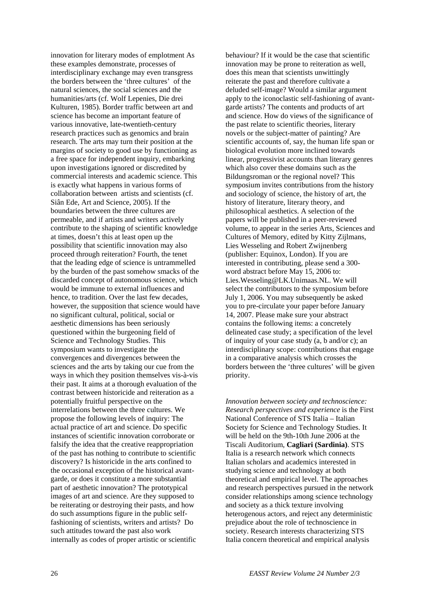innovation for literary modes of emplotment As these examples demonstrate, processes of interdisciplinary exchange may even transgress the borders between the 'three cultures' of the natural sciences, the social sciences and the humanities/arts (cf. Wolf Lepenies, Die drei Kulturen, 1985). Border traffic between art and science has become an important feature of various innovative, late-twentieth-century research practices such as genomics and brain research. The arts may turn their position at the margins of society to good use by functioning as a free space for independent inquiry, embarking upon investigations ignored or discredited by commercial interests and academic science. This is exactly what happens in various forms of collaboration between artists and scientists (cf. Siân Ede, Art and Science, 2005). If the boundaries between the three cultures are permeable, and if artists and writers actively contribute to the shaping of scientific knowledge at times, doesn't this at least open up the possibility that scientific innovation may also proceed through reiteration? Fourth, the tenet that the leading edge of science is untrammelled by the burden of the past somehow smacks of the discarded concept of autonomous science, which would be immune to external influences and hence, to tradition. Over the last few decades, however, the supposition that science would have no significant cultural, political, social or aesthetic dimensions has been seriously questioned within the burgeoning field of Science and Technology Studies. This symposium wants to investigate the convergences and divergences between the sciences and the arts by taking our cue from the ways in which they position themselves vis-à-vis their past. It aims at a thorough evaluation of the contrast between historicide and reiteration as a potentially fruitful perspective on the interrelations between the three cultures. We propose the following levels of inquiry: The actual practice of art and science. Do specific instances of scientific innovation corroborate or falsify the idea that the creative reappropriation of the past has nothing to contribute to scientific discovery? Is historicide in the arts confined to the occasional exception of the historical avantgarde, or does it constitute a more substantial part of aesthetic innovation? The prototypical images of art and science. Are they supposed to be reiterating or destroying their pasts, and how do such assumptions figure in the public selffashioning of scientists, writers and artists? Do such attitudes toward the past also work internally as codes of proper artistic or scientific

behaviour? If it would be the case that scientific innovation may be prone to reiteration as well, does this mean that scientists unwittingly reiterate the past and therefore cultivate a deluded self-image? Would a similar argument apply to the iconoclastic self-fashioning of avantgarde artists? The contents and products of art and science. How do views of the significance of the past relate to scientific theories, literary novels or the subject-matter of painting? Are scientific accounts of, say, the human life span or biological evolution more inclined towards linear, progressivist accounts than literary genres which also cover these domains such as the Bildungsroman or the regional novel? This symposium invites contributions from the history and sociology of science, the history of art, the history of literature, literary theory, and philosophical aesthetics. A selection of the papers will be published in a peer-reviewed volume, to appear in the series Arts, Sciences and Cultures of Memory, edited by Kitty Zijlmans, Lies Wesseling and Robert Zwijnenberg (publisher: Equinox, London). If you are interested in contributing, please send a 300 word abstract before May 15, 2006 to: Lies.Wesseling@LK.Unimaas.NL. We will select the contributors to the symposium before July 1, 2006. You may subsequently be asked you to pre-circulate your paper before January 14, 2007. Please make sure your abstract contains the following items: a concretely delineated case study; a specification of the level of inquiry of your case study (a, b and/or c); an interdisciplinary scope: contributions that engage in a comparative analysis which crosses the borders between the 'three cultures' will be given priority.

*Innovation between society and technoscience: Research perspectives and experience* is the First National Conference of STS Italia – Italian Society for Science and Technology Studies. It will be held on the 9th-10th June 2006 at the Tiscali Auditorium, **Cagliari (Sardinia)**. STS Italia is a research network which connects Italian scholars and academics interested in studying science and technology at both theoretical and empirical level. The approaches and research perspectives pursued in the network consider relationships among science technology and society as a thick texture involving heterogenous actors, and reject any deterministic prejudice about the role of technoscience in society. Research interests characterizing STS Italia concern theoretical and empirical analysis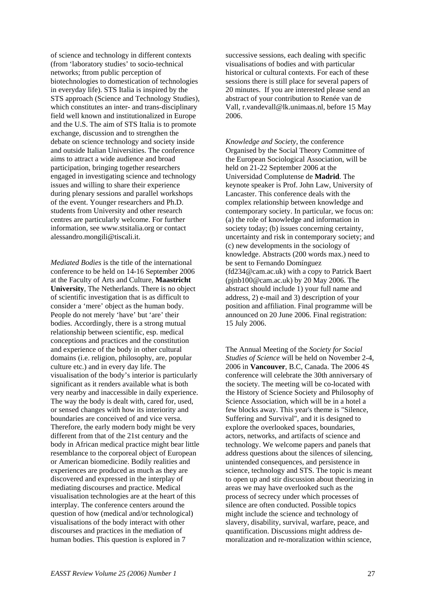of science and technology in different contexts (from 'laboratory studies' to socio-technical networks; ftrom public perception of biotechnologies to domestication of technologies in everyday life). STS Italia is inspired by the STS approach (Science and Technology Studies), which constitutes an inter- and trans-disciplinary field well known and institutionalized in Europe and the U.S. The aim of STS Italia is to promote exchange, discussion and to strengthen the debate on science technology and society inside and outside Italian Universities. The conference aims to attract a wide audience and broad participation, bringing together researchers engaged in investigating science and technology issues and willing to share their experience during plenary sessions and parallel workshops of the event. Younger researchers and Ph.D. students from University and other research centres are particularly welcome. For further information, see www.stsitalia.org or contact alessandro.mongili@tiscali.it.

*Mediated Bodies* is the title of the international conference to be held on 14-16 September 2006 at the Faculty of Arts and Culture, **Maastricht University**, The Netherlands. There is no object of scientific investigation that is as difficult to consider a 'mere' object as the human body. People do not merely 'have' but 'are' their bodies. Accordingly, there is a strong mutual relationship between scientific, esp. medical conceptions and practices and the constitution and experience of the body in other cultural domains (i.e. religion, philosophy, are, popular culture etc.) and in every day life. The visualisation of the body's interior is particularly significant as it renders available what is both very nearby and inaccessible in daily experience. The way the body is dealt with, cared for, used, or sensed changes with how its interiority and boundaries are conceived of and vice versa. Therefore, the early modern body might be very different from that of the 21st century and the body in African medical practice might bear little resemblance to the corporeal object of European or American biomedicine. Bodily realities and experiences are produced as much as they are discovered and expressed in the interplay of mediating discourses and practice. Medical visualisation technologies are at the heart of this interplay. The conference centers around the question of how (medical and/or technological) visualisations of the body interact with other discourses and practices in the mediation of human bodies. This question is explored in 7

successive sessions, each dealing with specific visualisations of bodies and with particular historical or cultural contexts. For each of these sessions there is still place for several papers of 20 minutes. If you are interested please send an abstract of your contribution to Renée van de Vall, r.vandevall@lk.unimaas.nl, before 15 May 2006.

*Knowledge and Society*, the conference Organised by the Social Theory Committee of the European Sociological Association, will be held on 21-22 September 2006 at the Universidad Complutense de **Madrid**. The keynote speaker is Prof. John Law, University of Lancaster. This conference deals with the complex relationship between knowledge and contemporary society. In particular, we focus on: (a) the role of knowledge and information in society today; (b) issues concerning certainty, uncertainty and risk in contemporary society; and (c) new developments in the sociology of knowledge. Abstracts (200 words max.) need to be sent to Fernando Domínguez (fd234@cam.ac.uk) with a copy to Patrick Baert (pjnb100@cam.ac.uk) by 20 May 2006. The abstract should include 1) your full name and address, 2) e-mail and 3) description of your position and affiliation. Final programme will be announced on 20 June 2006. Final registration: 15 July 2006.

The Annual Meeting of the *Society for Social Studies of Science* will be held on November 2-4, 2006 in **Vancouver**, B.C, Canada. The 2006 4S conference will celebrate the 30th anniversary of the society. The meeting will be co-located with the History of Science Society and Philosophy of Science Association, which will be in a hotel a few blocks away. This year's theme is "Silence, Suffering and Survival", and it is designed to explore the overlooked spaces, boundaries, actors, networks, and artifacts of science and technology. We welcome papers and panels that address questions about the silences of silencing, unintended consequences, and persistence in science, technology and STS. The topic is meant to open up and stir discussion about theorizing in areas we may have overlooked such as the process of secrecy under which processes of silence are often conducted. Possible topics might include the science and technology of slavery, disability, survival, warfare, peace, and quantification. Discussions might address demoralization and re-moralization within science,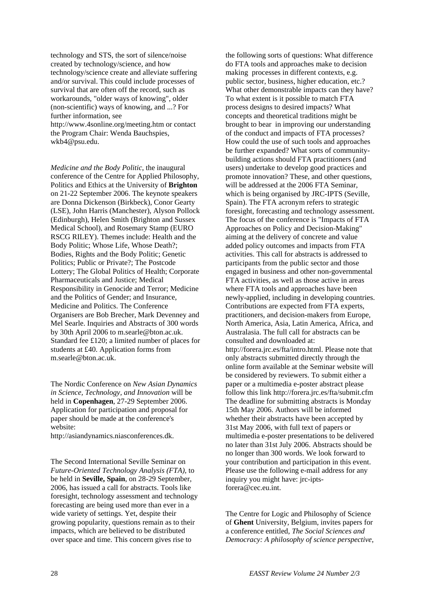technology and STS, the sort of silence/noise created by technology/science, and how technology/science create and alleviate suffering and/or survival. This could include processes of survival that are often off the record, such as workarounds, "older ways of knowing", older (non-scientific) ways of knowing, and ...? For further information, see http://www.4sonline.org/meeting.htm or contact the Program Chair: Wenda Bauchspies,

wkb4@psu.edu.

*Medicine and the Body Politic*, the inaugural conference of the Centre for Applied Philosophy, Politics and Ethics at the University of **Brighton** on 21-22 September 2006. The keynote speakers are Donna Dickenson (Birkbeck), Conor Gearty (LSE), John Harris (Manchester), Alyson Pollock (Edinburgh), Helen Smith (Brighton and Sussex Medical School), and Rosemary Stamp (EURO RSCG RILEY). Themes include: Health and the Body Politic; Whose Life, Whose Death?; Bodies, Rights and the Body Politic; Genetic Politics; Public or Private?; The Postcode Lottery; The Global Politics of Health; Corporate Pharmaceuticals and Justice; Medical Responsibility in Genocide and Terror; Medicine and the Politics of Gender; and Insurance, Medicine and Politics. The Conference Organisers are Bob Brecher, Mark Devenney and Mel Searle. Inquiries and Abstracts of 300 words by 30th April 2006 to m.searle@bton.ac.uk. Standard fee £120; a limited number of places for students at £40. Application forms from m.searle@bton.ac.uk.

The Nordic Conference on *New Asian Dynamics in Science, Technology, and Innovation* will be held in **Copenhagen**, 27-29 September 2006. Application for participation and proposal for paper should be made at the conference's website:

http://asiandynamics.niasconferences.dk.

The Second International Seville Seminar on *Future-Oriented Technology Analysis (FTA),* to be held in **Seville, Spain**, on 28-29 September, 2006, has issued a call for abstracts. Tools like foresight, technology assessment and technology forecasting are being used more than ever in a wide variety of settings. Yet, despite their growing popularity, questions remain as to their impacts, which are believed to be distributed over space and time. This concern gives rise to

the following sorts of questions: What difference do FTA tools and approaches make to decision making processes in different contexts, e.g. public sector, business, higher education, etc.? What other demonstrable impacts can they have? To what extent is it possible to match FTA process designs to desired impacts? What concepts and theoretical traditions might be brought to bear in improving our understanding of the conduct and impacts of FTA processes? How could the use of such tools and approaches be further expanded? What sorts of communitybuilding actions should FTA practitioners (and users) undertake to develop good practices and promote innovation? These, and other questions, will be addressed at the 2006 FTA Seminar, which is being organised by JRC-IPTS (Seville, Spain). The FTA acronym refers to strategic foresight, forecasting and technology assessment. The focus of the conference is "Impacts of FTA Approaches on Policy and Decision-Making" aiming at the delivery of concrete and value added policy outcomes and impacts from FTA activities. This call for abstracts is addressed to participants from the public sector and those engaged in business and other non-governmental FTA activities, as well as those active in areas where FTA tools and approaches have been newly-applied, including in developing countries. Contributions are expected from FTA experts, practitioners, and decision-makers from Europe, North America, Asia, Latin America, Africa, and Australasia. The full call for abstracts can be consulted and downloaded at: http://forera.jrc.es/fta/intro.html. Please note that only abstracts submitted directly through the online form available at the Seminar website will be considered by reviewers. To submit either a paper or a multimedia e-poster abstract please follow this link http://forera.jrc.es/fta/submit.cfm The deadline for submitting abstracts is Monday 15th May 2006. Authors will be informed whether their abstracts have been accepted by 31st May 2006, with full text of papers or multimedia e-poster presentations to be delivered no later than 31st July 2006. Abstracts should be no longer than 300 words. We look forward to your contribution and participation in this event. Please use the following e-mail address for any inquiry you might have: jrc-iptsforera@cec.eu.int.

The Centre for Logic and Philosophy of Science of **Ghent** University, Belgium, invites papers for a conference entitled, *The Social Sciences and Democracy: A philosophy of science perspective*,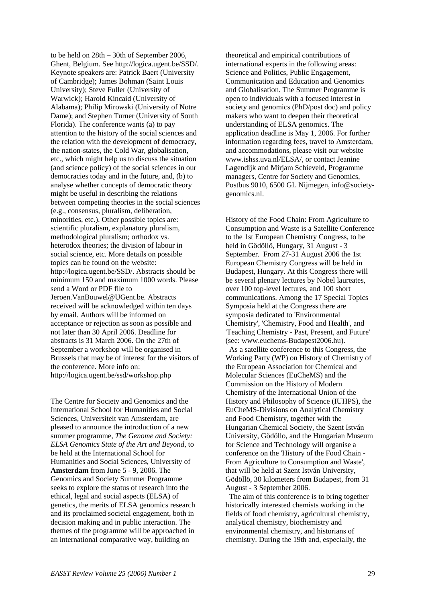to be held on 28th – 30th of September 2006, Ghent, Belgium. See http://logica.ugent.be/SSD/. Keynote speakers are: Patrick Baert (University of Cambridge); James Bohman (Saint Louis University); Steve Fuller (University of Warwick); Harold Kincaid (University of Alabama); Philip Mirowski (University of Notre Dame); and Stephen Turner (University of South Florida). The conference wants (a) to pay attention to the history of the social sciences and the relation with the development of democracy, the nation-states, the Cold War, globalisation, etc., which might help us to discuss the situation (and science policy) of the social sciences in our democracies today and in the future, and, (b) to analyse whether concepts of democratic theory might be useful in describing the relations between competing theories in the social sciences (e.g., consensus, pluralism, deliberation, minorities, etc.). Other possible topics are: scientific pluralism, explanatory pluralism, methodological pluralism; orthodox vs. heterodox theories; the division of labour in social science, etc. More details on possible topics can be found on the website: http://logica.ugent.be/SSD/. Abstracts should be minimum 150 and maximum 1000 words. Please send a Word or PDF file to Jeroen.VanBouwel@UGent.be. Abstracts received will be acknowledged within ten days by email. Authors will be informed on acceptance or rejection as soon as possible and not later than 30 April 2006. Deadline for abstracts is 31 March 2006. On the 27th of September a workshop will be organised in Brussels that may be of interest for the visitors of the conference. More info on: http://logica.ugent.be/ssd/workshop.php

The Centre for Society and Genomics and the International School for Humanities and Social Sciences, Universiteit van Amsterdam, are pleased to announce the introduction of a new summer programme, *The Genome and Society: ELSA Genomics State of the Art and Beyond*, to be held at the International School for Humanities and Social Sciences, University of **Amsterdam** from June 5 - 9, 2006. The Genomics and Society Summer Programme seeks to explore the status of research into the ethical, legal and social aspects (ELSA) of genetics, the merits of ELSA genomics research and its proclaimed societal engagement, both in decision making and in public interaction. The themes of the programme will be approached in an international comparative way, building on

theoretical and empirical contributions of international experts in the following areas: Science and Politics, Public Engagement, Communication and Education and Genomics and Globalisation. The Summer Programme is open to individuals with a focused interest in society and genomics (PhD/post doc) and policy makers who want to deepen their theoretical understanding of ELSA genomics. The application deadline is May 1, 2006. For further information regarding fees, travel to Amsterdam, and accommodations, please visit our website www.ishss.uva.nl/ELSA/, or contact Jeanine Lagendijk and Mirjam Schieveld, Programme managers, Centre for Society and Genomics, Postbus 9010, 6500 GL Nijmegen, info@societygenomics.nl.

History of the Food Chain: From Agriculture to Consumption and Waste is a Satellite Conference to the 1st European Chemistry Congress, to be held in Gödöllö, Hungary, 31 August - 3 September. From 27-31 August 2006 the 1st European Chemistry Congress will be held in Budapest, Hungary. At this Congress there will be several plenary lectures by Nobel laureates, over 100 top-level lectures, and 100 short communications. Among the 17 Special Topics Symposia held at the Congress there are symposia dedicated to 'Environmental Chemistry', 'Chemistry, Food and Health', and 'Teaching Chemistry - Past, Present, and Future' (see: www.euchems-Budapest2006.hu).

 As a satellite conference to this Congress, the Working Party (WP) on History of Chemistry of the European Association for Chemical and Molecular Sciences (EuCheMS) and the Commission on the History of Modern Chemistry of the International Union of the History and Philosophy of Science (IUHPS), the EuCheMS-Divisions on Analytical Chemistry and Food Chemistry, together with the Hungarian Chemical Society, the Szent István University, Gödöllo, and the Hungarian Museum for Science and Technology will organise a conference on the 'History of the Food Chain - From Agriculture to Consumption and Waste', that will be held at Szent István University, Gödöllö, 30 kilometers from Budapest, from 31 August - 3 September 2006.

 The aim of this conference is to bring together historically interested chemists working in the fields of food chemistry, agricultural chemistry, analytical chemistry, biochemistry and environmental chemistry, and historians of chemistry. During the 19th and, especially, the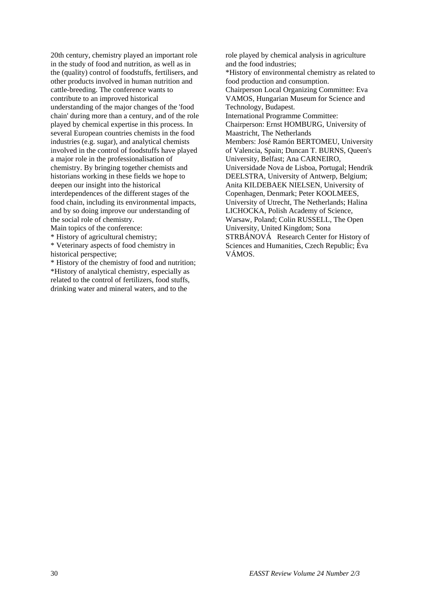20th century, chemistry played an important role in the study of food and nutrition, as well as in the (quality) control of foodstuffs, fertilisers, and other products involved in human nutrition and cattle-breeding. The conference wants to contribute to an improved historical understanding of the major changes of the 'food chain' during more than a century, and of the role played by chemical expertise in this process. In several European countries chemists in the food industries (e.g. sugar), and analytical chemists involved in the control of foodstuffs have played a major role in the professionalisation of chemistry. By bringing together chemists and historians working in these fields we hope to deepen our insight into the historical interdependences of the different stages of the food chain, including its environmental impacts, and by so doing improve our understanding of the social role of chemistry.

Main topics of the conference:

\* History of agricultural chemistry;

\* Veterinary aspects of food chemistry in historical perspective;

\* History of the chemistry of food and nutrition; \*History of analytical chemistry, especially as related to the control of fertilizers, food stuffs, drinking water and mineral waters, and to the

role played by chemical analysis in agriculture and the food industries; \*History of environmental chemistry as related to food production and consumption. Chairperson Local Organizing Committee: Eva VAMOS, Hungarian Museum for Science and Technology, Budapest. International Programme Committee: Chairperson: Ernst HOMBURG, University of Maastricht, The Netherlands Members: José Ramón BERTOMEU, University of Valencia, Spain; Duncan T. BURNS, Queen's University, Belfast; Ana CARNEIRO, Universidade Nova de Lisboa, Portugal; Hendrik DEELSTRA, University of Antwerp, Belgium; Anita KILDEBAEK NIELSEN, University of Copenhagen, Denmark; Peter KOOLMEES, University of Utrecht, The Netherlands; Halina LICHOCKA, Polish Academy of Science, Warsaw, Poland; Colin RUSSELL, The Open University, United Kingdom; Sona STRBÁNOVÁ Research Center for History of Sciences and Humanities, Czech Republic; Éva VÁMOS.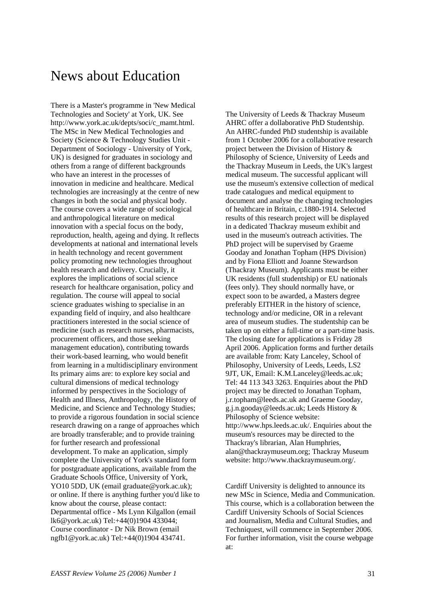# News about Education

There is a Master's programme in 'New Medical Technologies and Society' at York, UK. See http://www.york.ac.uk/depts/soci/c\_mamt.html. The MSc in New Medical Technologies and Society (Science & Technology Studies Unit - Department of Sociology - University of York, UK) is designed for graduates in sociology and others from a range of different backgrounds who have an interest in the processes of innovation in medicine and healthcare. Medical technologies are increasingly at the centre of new changes in both the social and physical body. The course covers a wide range of sociological and anthropological literature on medical innovation with a special focus on the body, reproduction, health, ageing and dying. It reflects developments at national and international levels in health technology and recent government policy promoting new technologies throughout health research and delivery. Crucially, it explores the implications of social science research for healthcare organisation, policy and regulation. The course will appeal to social science graduates wishing to specialise in an expanding field of inquiry, and also healthcare practitioners interested in the social science of medicine (such as research nurses, pharmacists, procurement officers, and those seeking management education), contributing towards their work-based learning, who would benefit from learning in a multidisciplinary environment Its primary aims are: to explore key social and cultural dimensions of medical technology informed by perspectives in the Sociology of Health and Illness, Anthropology, the History of Medicine, and Science and Technology Studies; to provide a rigorous foundation in social science research drawing on a range of approaches which are broadly transferable; and to provide training for further research and professional development. To make an application, simply complete the University of York's standard form for postgraduate applications, available from the Graduate Schools Office, University of York, YO10 5DD, UK (email graduate@york.ac.uk); or online. If there is anything further you'd like to know about the course, please contact: Departmental office - Ms Lynn Kilgallon (email lk6@york.ac.uk) Tel:+44(0)1904 433044; Course coordinator - Dr Nik Brown (email ngfb1@york.ac.uk) Tel:+44(0)1904 434741.

The University of Leeds & Thackray Museum AHRC offer a dollaborative PhD Studentship. An AHRC-funded PhD studentship is available from 1 October 2006 for a collaborative research project between the Division of History & Philosophy of Science, University of Leeds and the Thackray Museum in Leeds, the UK's largest medical museum. The successful applicant will use the museum's extensive collection of medical trade catalogues and medical equipment to document and analyse the changing technologies of healthcare in Britain, c.1880-1914. Selected results of this research project will be displayed in a dedicated Thackray museum exhibit and used in the museum's outreach activities. The PhD project will be supervised by Graeme Gooday and Jonathan Topham (HPS Division) and by Fiona Elliott and Joanne Stewardson (Thackray Museum). Applicants must be either UK residents (full studentship) or EU nationals (fees only). They should normally have, or expect soon to be awarded, a Masters degree preferably EITHER in the history of science, technology and/or medicine, OR in a relevant area of museum studies. The studentship can be taken up on either a full-time or a part-time basis. The closing date for applications is Friday 28 April 2006. Application forms and further details are available from: Katy Lanceley, School of Philosophy, University of Leeds, Leeds, LS2 9JT, UK, Email: K.M.Lanceley@leeds.ac.uk; Tel: 44 113 343 3263. Enquiries about the PhD project may be directed to Jonathan Topham, j.r.topham@leeds.ac.uk and Graeme Gooday, g.j.n.gooday@leeds.ac.uk; Leeds History & Philosophy of Science website: http://www.hps.leeds.ac.uk/. Enquiries about the museum's resources may be directed to the Thackray's librarian, Alan Humphries, alan@thackraymuseum.org; Thackray Museum website: http://www.thackraymuseum.org/.

Cardiff University is delighted to announce its new MSc in Science, Media and Communication. This course, which is a collaboration between the Cardiff University Schools of Social Sciences and Journalism, Media and Cultural Studies, and Techniquest, will commence in September 2006. For further information, visit the course webpage at: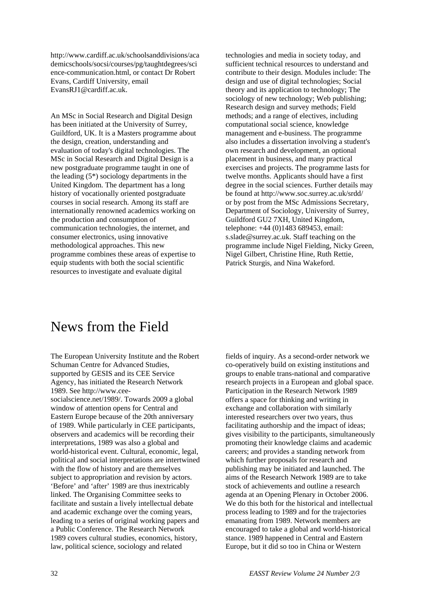http://www.cardiff.ac.uk/schoolsanddivisions/aca demicschools/socsi/courses/pg/taughtdegrees/sci ence-communication.html, or contact Dr Robert Evans, Cardiff University, email EvansRJ1@cardiff.ac.uk.

An MSc in Social Research and Digital Design has been initiated at the University of Surrey, Guildford, UK. It is a Masters programme about the design, creation, understanding and evaluation of today's digital technologies. The MSc in Social Research and Digital Design is a new postgraduate programme taught in one of the leading (5\*) sociology departments in the United Kingdom. The department has a long history of vocationally oriented postgraduate courses in social research. Among its staff are internationally renowned academics working on the production and consumption of communication technologies, the internet, and consumer electronics, using innovative methodological approaches. This new programme combines these areas of expertise to equip students with both the social scientific resources to investigate and evaluate digital

technologies and media in society today, and sufficient technical resources to understand and contribute to their design. Modules include: The design and use of digital technologies; Social theory and its application to technology; The sociology of new technology; Web publishing; Research design and survey methods; Field methods; and a range of electives, including computational social science, knowledge management and e-business. The programme also includes a dissertation involving a student's own research and development, an optional placement in business, and many practical exercises and projects. The programme lasts for twelve months. Applicants should have a first degree in the social sciences. Further details may be found at http://www.soc.surrey.ac.uk/srdd/ or by post from the MSc Admissions Secretary, Department of Sociology, University of Surrey, Guildford GU2 7XH, United Kingdom, telephone: +44 (0)1483 689453, email: s.slade@surrey.ac.uk. Staff teaching on the programme include Nigel Fielding, Nicky Green, Nigel Gilbert, Christine Hine, Ruth Rettie, Patrick Sturgis, and Nina Wakeford.

# News from the Field

The European University Institute and the Robert Schuman Centre for Advanced Studies, supported by GESIS and its CEE Service Agency, has initiated the Research Network 1989. See http://www.ceesocialscience.net/1989/. Towards 2009 a global window of attention opens for Central and Eastern Europe because of the 20th anniversary of 1989. While particularly in CEE participants, observers and academics will be recording their interpretations, 1989 was also a global and world-historical event. Cultural, economic, legal, political and social interpretations are intertwined with the flow of history and are themselves subject to appropriation and revision by actors. 'Before' and 'after' 1989 are thus inextricably linked. The Organising Committee seeks to facilitate and sustain a lively intellectual debate and academic exchange over the coming years, leading to a series of original working papers and a Public Conference. The Research Network 1989 covers cultural studies, economics, history, law, political science, sociology and related

fields of inquiry. As a second-order network we co-operatively build on existing institutions and groups to enable trans-national and comparative research projects in a European and global space. Participation in the Research Network 1989 offers a space for thinking and writing in exchange and collaboration with similarly interested researchers over two years, thus facilitating authorship and the impact of ideas; gives visibility to the participants, simultaneously promoting their knowledge claims and academic careers; and provides a standing network from which further proposals for research and publishing may be initiated and launched. The aims of the Research Network 1989 are to take stock of achievements and outline a research agenda at an Opening Plenary in October 2006. We do this both for the historical and intellectual process leading to 1989 and for the trajectories emanating from 1989. Network members are encouraged to take a global and world-historical stance. 1989 happened in Central and Eastern Europe, but it did so too in China or Western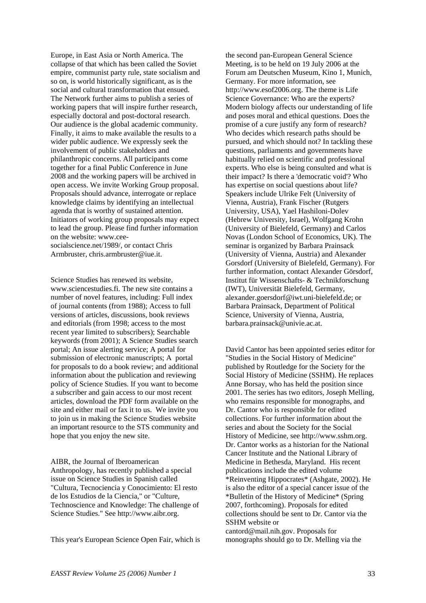Europe, in East Asia or North America. The collapse of that which has been called the Soviet empire, communist party rule, state socialism and so on, is world historically significant, as is the social and cultural transformation that ensued. The Network further aims to publish a series of working papers that will inspire further research, especially doctoral and post-doctoral research. Our audience is the global academic community. Finally, it aims to make available the results to a wider public audience. We expressly seek the involvement of public stakeholders and philanthropic concerns. All participants come together for a final Public Conference in June 2008 and the working papers will be archived in open access. We invite Working Group proposal. Proposals should advance, interrogate or replace knowledge claims by identifying an intellectual agenda that is worthy of sustained attention. Initiators of working group proposals may expect to lead the group. Please find further information on the website: www.ceesocialscience.net/1989/, or contact Chris Armbruster, chris.armbruster@iue.it.

Science Studies has renewed its website, www.sciencestudies.fi. The new site contains a number of novel features, including: Full index of journal contents (from 1988); Access to full versions of articles, discussions, book reviews and editorials (from 1998; access to the most recent year limited to subscribers); Searchable keywords (from 2001); A Science Studies search portal; An issue alerting service; A portal for submission of electronic manuscripts; A portal for proposals to do a book review; and additional information about the publication and reviewing policy of Science Studies. If you want to become a subscriber and gain access to our most recent articles, download the PDF form available on the site and either mail or fax it to us. We invite you to join us in making the Science Studies website an important resource to the STS community and hope that you enjoy the new site.

AIBR, the Journal of Iberoamerican Anthropology, has recently published a special issue on Science Studies in Spanish called "Cultura, Tecnociencia y Conocimiento: El resto de los Estudios de la Ciencia," or "Culture, Technoscience and Knowledge: The challenge of Science Studies." See http://www.aibr.org.

This year's European Science Open Fair, which is

the second pan-European General Science Meeting, is to be held on 19 July 2006 at the Forum am Deutschen Museum, Kino 1, Munich, Germany. For more information, see http://www.esof2006.org. The theme is Life Science Governance: Who are the experts? Modern biology affects our understanding of life and poses moral and ethical questions. Does the promise of a cure justify any form of research? Who decides which research paths should be pursued, and which should not? In tackling these questions, parliaments and governments have habitually relied on scientific and professional experts. Who else is being consulted and what is their impact? Is there a 'democratic void'? Who has expertise on social questions about life? Speakers include Ulrike Felt (University of Vienna, Austria), Frank Fischer (Rutgers University, USA), Yael Hashiloni-Dolev (Hebrew University, Israel), Wolfgang Krohn (University of Bielefeld, Germany) and Carlos Novas (London School of Economics, UK). The seminar is organized by Barbara Prainsack (University of Vienna, Austria) and Alexander Gorsdorf (University of Bielefeld, Germany). For further information, contact Alexander Görsdorf, Institut für Wissenschafts- & Technikforschung (IWT), Universität Bielefeld, Germany, alexander.goersdorf@iwt.uni-bielefeld.de; or Barbara Prainsack, Department of Political Science, University of Vienna, Austria, barbara.prainsack@univie.ac.at.

David Cantor has been appointed series editor for "Studies in the Social History of Medicine" published by Routledge for the Society for the Social History of Medicine (SSHM). He replaces Anne Borsay, who has held the position since 2001. The series has two editors, Joseph Melling, who remains responsible for monographs, and Dr. Cantor who is responsible for edited collections. For further information about the series and about the Society for the Social History of Medicine, see http://www.sshm.org. Dr. Cantor works as a historian for the National Cancer Institute and the National Library of Medicine in Bethesda, Maryland. His recent publications include the edited volume \*Reinventing Hippocrates\* (Ashgate, 2002). He is also the editor of a special cancer issue of the \*Bulletin of the History of Medicine\* (Spring 2007, forthcoming). Proposals for edited collections should be sent to Dr. Cantor via the SSHM website or cantord@mail.nih.gov. Proposals for monographs should go to Dr. Melling via the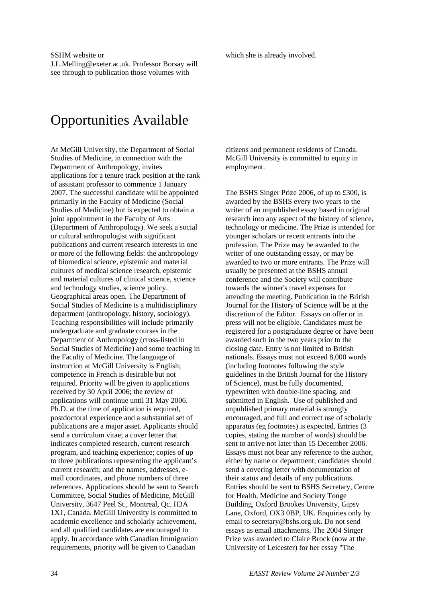SSHM website or J.L.Melling@exeter.ac.uk. Professor Borsay will see through to publication those volumes with

# Opportunities Available

At McGill University, the Department of Social Studies of Medicine, in connection with the Department of Anthropology, invites applications for a tenure track position at the rank of assistant professor to commence 1 January 2007. The successful candidate will be appointed primarily in the Faculty of Medicine (Social Studies of Medicine) but is expected to obtain a joint appointment in the Faculty of Arts (Department of Anthropology). We seek a social or cultural anthropologist with significant publications and current research interests in one or more of the following fields: the anthropology of biomedical science, epistemic and material cultures of medical science research, epistemic and material cultures of clinical science, science and technology studies, science policy. Geographical areas open. The Department of Social Studies of Medicine is a multidisciplinary department (anthropology, history, sociology). Teaching responsibilities will include primarily undergraduate and graduate courses in the Department of Anthropology (cross-listed in Social Studies of Medicine) and some teaching in the Faculty of Medicine. The language of instruction at McGill University is English; competence in French is desirable but not required. Priority will be given to applications received by 30 April 2006; the review of applications will continue until 31 May 2006. Ph.D. at the time of application is required, postdoctoral experience and a substantial set of publications are a major asset. Applicants should send a curriculum vitae; a cover letter that indicates completed research, current research program, and teaching experience; copies of up to three publications representing the applicant's current research; and the names, addresses, email coordinates, and phone numbers of three references. Applications should be sent to Search Committee, Social Studies of Medicine, McGill University, 3647 Peel St., Montreal, Qc. H3A 1X1, Canada. McGill University is committed to academic excellence and scholarly achievement, and all qualified candidates are encouraged to apply. In accordance with Canadian Immigration requirements, priority will be given to Canadian

which she is already involved.

citizens and permanent residents of Canada. McGill University is committed to equity in employment.

The BSHS Singer Prize 2006, of up to £300, is awarded by the BSHS every two years to the writer of an unpublished essay based in original research into any aspect of the history of science, technology or medicine. The Prize is intended for younger scholars or recent entrants into the profession. The Prize may be awarded to the writer of one outstanding essay, or may be awarded to two or more entrants. The Prize will usually be presented at the BSHS annual conference and the Society will contribute towards the winner's travel expenses for attending the meeting. Publication in the British Journal for the History of Science will be at the discretion of the Editor. Essays on offer or in press will not be eligible. Candidates must be registered for a postgraduate degree or have been awarded such in the two years prior to the closing date. Entry is not limited to British nationals. Essays must not exceed 8,000 words (including footnotes following the style guidelines in the British Journal for the History of Science), must be fully documented, typewritten with double-line spacing, and submitted in English. Use of published and unpublished primary material is strongly encouraged, and full and correct use of scholarly apparatus (eg footnotes) is expected. Entries (3 copies, stating the number of words) should be sent to arrive not later than 15 December 2006. Essays must not bear any reference to the author, either by name or department; candidates should send a covering letter with documentation of their status and details of any publications. Entries should be sent to BSHS Secretary, Centre for Health, Medicine and Society Tonge Building, Oxford Brookes University, Gipsy Lane, Oxford, OX3 0BP, UK. Enquiries only by email to secretary@bshs.org.uk. Do not send essays as email attachments. The 2004 Singer Prize was awarded to Claire Brock (now at the University of Leicester) for her essay "The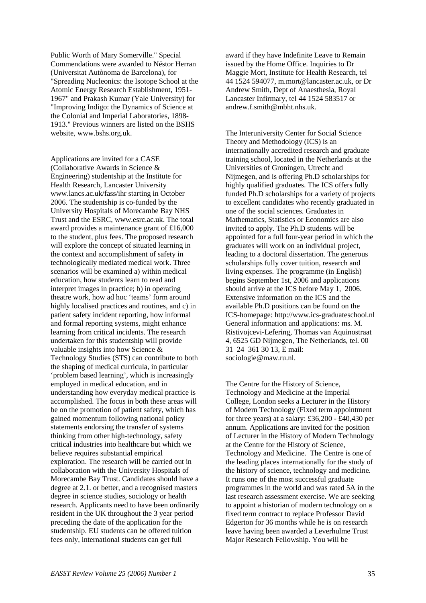Public Worth of Mary Somerville." Special Commendations were awarded to Néstor Herran (Universitat Autònoma de Barcelona), for "Spreading Nucleonics: the Isotope School at the Atomic Energy Research Establishment, 1951- 1967" and Prakash Kumar (Yale University) for "Improving Indigo: the Dynamics of Science at the Colonial and Imperial Laboratories, 1898- 1913." Previous winners are listed on the BSHS website, www.bshs.org.uk.

Applications are invited for a CASE (Collaborative Awards in Science & Engineering) studentship at the Institute for Health Research, Lancaster University www.lancs.ac.uk/fass/ihr starting in October 2006. The studentship is co-funded by the University Hospitals of Morecambe Bay NHS Trust and the ESRC, www.esrc.ac.uk. The total award provides a maintenance grant of £16,000 to the student, plus fees. The proposed research will explore the concept of situated learning in the context and accomplishment of safety in technologically mediated medical work. Three scenarios will be examined a) within medical education, how students learn to read and interpret images in practice; b) in operating theatre work, how ad hoc 'teams' form around highly localised practices and routines, and c) in patient safety incident reporting, how informal and formal reporting systems, might enhance learning from critical incidents. The research undertaken for this studentship will provide valuable insights into how Science & Technology Studies (STS) can contribute to both the shaping of medical curricula, in particular 'problem based learning', which is increasingly employed in medical education, and in understanding how everyday medical practice is accomplished. The focus in both these areas will be on the promotion of patient safety, which has gained momentum following national policy statements endorsing the transfer of systems thinking from other high-technology, safety critical industries into healthcare but which we believe requires substantial empirical exploration. The research will be carried out in collaboration with the University Hospitals of Morecambe Bay Trust. Candidates should have a degree at 2.1. or better, and a recognised masters degree in science studies, sociology or health research. Applicants need to have been ordinarily resident in the UK throughout the 3 year period preceding the date of the application for the studentship. EU students can be offered tuition fees only, international students can get full

award if they have Indefinite Leave to Remain issued by the Home Office. Inquiries to Dr Maggie Mort, Institute for Health Research, tel 44 1524 594077, m.mort@lancaster.ac.uk, or Dr Andrew Smith, Dept of Anaesthesia, Royal Lancaster Infirmary, tel 44 1524 583517 or andrew.f.smith@mbht.nhs.uk.

The Interuniversity Center for Social Science Theory and Methodology (ICS) is an internationally accredited research and graduate training school, located in the Netherlands at the Universities of Groningen, Utrecht and Nijmegen, and is offering Ph.D scholarships for highly qualified graduates. The ICS offers fully funded Ph.D scholarships for a variety of projects to excellent candidates who recently graduated in one of the social sciences. Graduates in Mathematics, Statistics or Economics are also invited to apply. The Ph.D students will be appointed for a full four-year period in which the graduates will work on an individual project, leading to a doctoral dissertation. The generous scholarships fully cover tuition, research and living expenses. The programme (in English) begins September 1st, 2006 and applications should arrive at the ICS before May 1, 2006. Extensive information on the ICS and the available Ph.D positions can be found on the ICS-homepage: http://www.ics-graduateschool.nl General information and applications: ms. M. Ristivojcevi-Lefering, Thomas van Aquinostraat 4, 6525 GD Nijmegen, The Netherlands, tel. 00 31 24 361 30 13, E mail: sociologie@maw.ru.nl.

The Centre for the History of Science, Technology and Medicine at the Imperial College, London seeks a Lecturer in the History of Modern Technology (Fixed term appointment for three years) at a salary: £36,200 - £40,430 per annum. Applications are invited for the position of Lecturer in the History of Modern Technology at the Centre for the History of Science, Technology and Medicine. The Centre is one of the leading places internationally for the study of the history of science, technology and medicine. It runs one of the most successful graduate programmes in the world and was rated 5A in the last research assessment exercise. We are seeking to appoint a historian of modern technology on a fixed term contract to replace Professor David Edgerton for 36 months while he is on research leave having been awarded a Leverhulme Trust Major Research Fellowship. You will be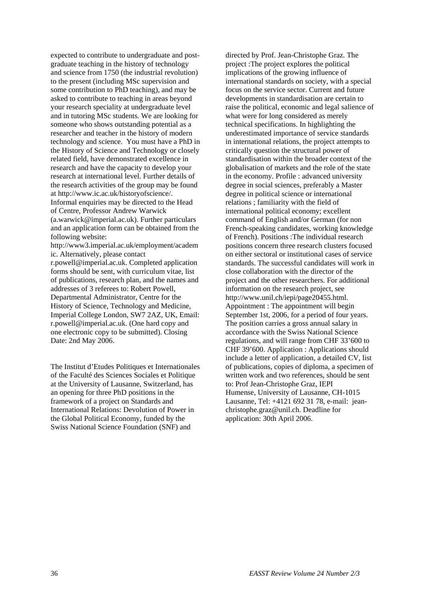expected to contribute to undergraduate and postgraduate teaching in the history of technology and science from 1750 (the industrial revolution) to the present (including MSc supervision and some contribution to PhD teaching), and may be asked to contribute to teaching in areas beyond your research speciality at undergraduate level and in tutoring MSc students. We are looking for someone who shows outstanding potential as a researcher and teacher in the history of modern technology and science. You must have a PhD in the History of Science and Technology or closely related field, have demonstrated excellence in research and have the capacity to develop your research at international level. Further details of the research activities of the group may be found at http://www.ic.ac.uk/historyofscience/. Informal enquiries may be directed to the Head of Centre, Professor Andrew Warwick (a.warwick@imperial.ac.uk). Further particulars and an application form can be obtained from the following website: http://www3.imperial.ac.uk/employment/academ ic. Alternatively, please contact r.powell@imperial.ac.uk. Completed application forms should be sent, with curriculum vitae, list of publications, research plan, and the names and addresses of 3 referees to: Robert Powell, Departmental Administrator, Centre for the

History of Science, Technology and Medicine, Imperial College London, SW7 2AZ, UK, Email: r.powell@imperial.ac.uk. (One hard copy and one electronic copy to be submitted). Closing Date: 2nd May 2006.

The Institut d'Etudes Politiques et Internationales of the Faculté des Sciences Sociales et Politique at the University of Lausanne, Switzerland, has an opening for three PhD positions in the framework of a project on Standards and International Relations: Devolution of Power in the Global Political Economy, funded by the Swiss National Science Foundation (SNF) and

directed by Prof. Jean-Christophe Graz. The project :The project explores the political implications of the growing influence of international standards on society, with a special focus on the service sector. Current and future developments in standardisation are certain to raise the political, economic and legal salience of what were for long considered as merely technical specifications. In highlighting the underestimated importance of service standards in international relations, the project attempts to critically question the structural power of standardisation within the broader context of the globalisation of markets and the role of the state in the economy. Profile : advanced university degree in social sciences, preferably a Master degree in political science or international relations ; familiarity with the field of international political economy; excellent command of English and/or German (for non French-speaking candidates, working knowledge of French). Positions :The individual research positions concern three research clusters focused on either sectoral or institutional cases of service standards. The successful candidates will work in close collaboration with the director of the project and the other researchers. For additional information on the research project, see http://www.unil.ch/iepi/page20455.html. Appointment : The appointment will begin September 1st, 2006, for a period of four years. The position carries a gross annual salary in accordance with the Swiss National Science regulations, and will range from CHF 33'600 to CHF 39'600. Application : Applications should include a letter of application, a detailed CV, list of publications, copies of diploma, a specimen of written work and two references, should be sent to: Prof Jean-Christophe Graz, IEPI Humense, University of Lausanne, CH-1015 Lausanne, Tel: +4121 692 31 78, e-mail: jeanchristophe.graz@unil.ch. Deadline for application: 30th April 2006.